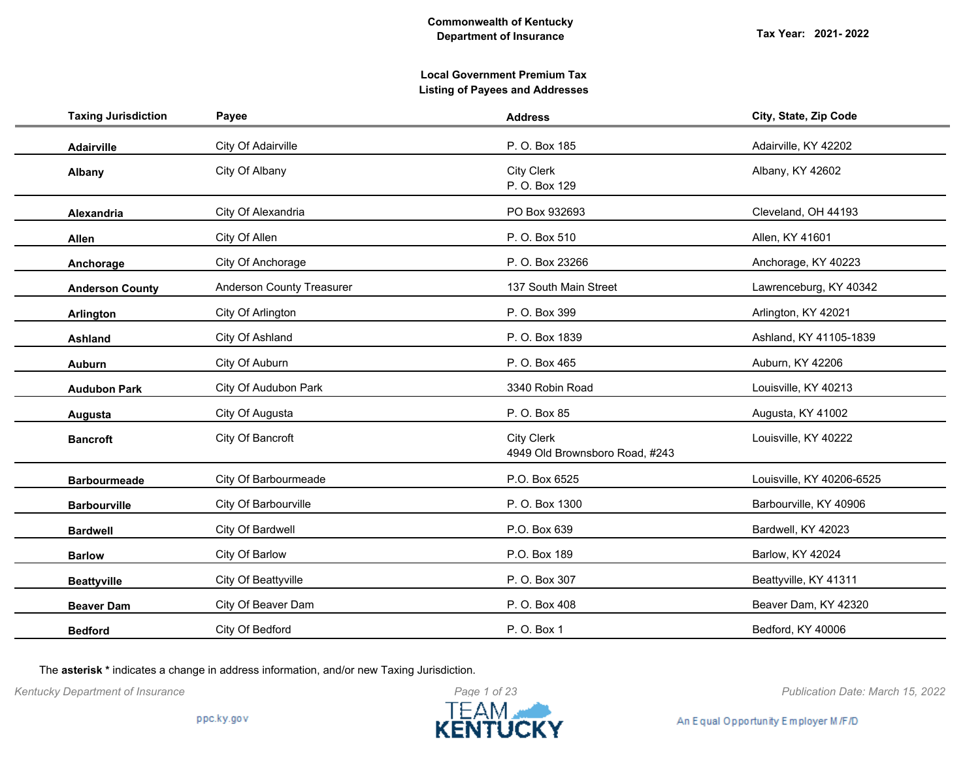| <b>Taxing Jurisdiction</b> | Payee                            | <b>Address</b>                                      | City, State, Zip Code     |
|----------------------------|----------------------------------|-----------------------------------------------------|---------------------------|
| Adairville                 | City Of Adairville               | P. O. Box 185                                       | Adairville, KY 42202      |
| Albany                     | City Of Albany                   | <b>City Clerk</b><br>P. O. Box 129                  | Albany, KY 42602          |
| <b>Alexandria</b>          | City Of Alexandria               | PO Box 932693                                       | Cleveland, OH 44193       |
| Allen                      | City Of Allen                    | P. O. Box 510                                       | Allen, KY 41601           |
| Anchorage                  | City Of Anchorage                | P. O. Box 23266                                     | Anchorage, KY 40223       |
| <b>Anderson County</b>     | <b>Anderson County Treasurer</b> | 137 South Main Street                               | Lawrenceburg, KY 40342    |
| Arlington                  | City Of Arlington                | P. O. Box 399                                       | Arlington, KY 42021       |
| Ashland                    | City Of Ashland                  | P. O. Box 1839                                      | Ashland, KY 41105-1839    |
| <b>Auburn</b>              | City Of Auburn                   | P. O. Box 465                                       | Auburn, KY 42206          |
| <b>Audubon Park</b>        | City Of Audubon Park             | 3340 Robin Road                                     | Louisville, KY 40213      |
| Augusta                    | City Of Augusta                  | P. O. Box 85                                        | Augusta, KY 41002         |
| <b>Bancroft</b>            | City Of Bancroft                 | <b>City Clerk</b><br>4949 Old Brownsboro Road, #243 | Louisville, KY 40222      |
| <b>Barbourmeade</b>        | City Of Barbourmeade             | P.O. Box 6525                                       | Louisville, KY 40206-6525 |
| <b>Barbourville</b>        | City Of Barbourville             | P. O. Box 1300                                      | Barbourville, KY 40906    |
| <b>Bardwell</b>            | City Of Bardwell                 | P.O. Box 639                                        | Bardwell, KY 42023        |
| <b>Barlow</b>              | City Of Barlow                   | P.O. Box 189                                        | Barlow, KY 42024          |
| <b>Beattyville</b>         | City Of Beattyville              | P. O. Box 307                                       | Beattyville, KY 41311     |
| <b>Beaver Dam</b>          | City Of Beaver Dam               | P. O. Box 408                                       | Beaver Dam, KY 42320      |
| <b>Bedford</b>             | City Of Bedford                  | P. O. Box 1                                         | Bedford, KY 40006         |

The **asterisk \*** indicates a change in address information, and/or new Taxing Jurisdiction.



*Kentucky Department of Insurance Publication Date: March 15, 2022*

An Equal Opportunity Employer M/F/D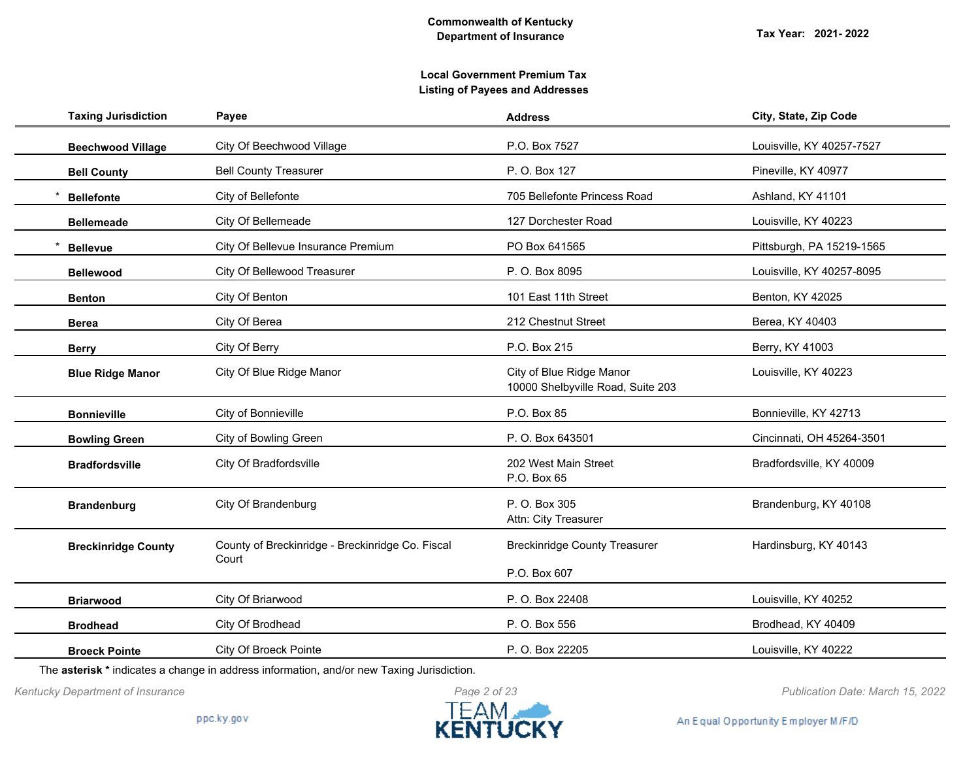| <b>Taxing Jurisdiction</b> | Payee                                            | <b>Address</b>                                                | City, State, Zip Code     |
|----------------------------|--------------------------------------------------|---------------------------------------------------------------|---------------------------|
| <b>Beechwood Village</b>   | City Of Beechwood Village                        | P.O. Box 7527                                                 | Louisville, KY 40257-7527 |
| <b>Bell County</b>         | <b>Bell County Treasurer</b>                     | P. O. Box 127                                                 | Pineville, KY 40977       |
| <b>Bellefonte</b>          | City of Bellefonte                               | 705 Bellefonte Princess Road                                  | Ashland, KY 41101         |
| <b>Bellemeade</b>          | City Of Bellemeade                               | 127 Dorchester Road                                           | Louisville, KY 40223      |
| <b>Bellevue</b>            | City Of Bellevue Insurance Premium               | PO Box 641565                                                 | Pittsburgh, PA 15219-1565 |
| <b>Bellewood</b>           | City Of Bellewood Treasurer                      | P. O. Box 8095                                                | Louisville, KY 40257-8095 |
| <b>Benton</b>              | City Of Benton                                   | 101 East 11th Street                                          | Benton, KY 42025          |
| Berea                      | City Of Berea                                    | 212 Chestnut Street                                           | Berea, KY 40403           |
| <b>Berry</b>               | City Of Berry                                    | P.O. Box 215                                                  | Berry, KY 41003           |
| <b>Blue Ridge Manor</b>    | City Of Blue Ridge Manor                         | City of Blue Ridge Manor<br>10000 Shelbyville Road, Suite 203 | Louisville, KY 40223      |
| <b>Bonnieville</b>         | City of Bonnieville                              | P.O. Box 85                                                   | Bonnieville, KY 42713     |
| <b>Bowling Green</b>       | City of Bowling Green                            | P. O. Box 643501                                              | Cincinnati, OH 45264-3501 |
| <b>Bradfordsville</b>      | City Of Bradfordsville                           | 202 West Main Street<br>P.O. Box 65                           | Bradfordsville, KY 40009  |
| <b>Brandenburg</b>         | City Of Brandenburg                              | P. O. Box 305<br>Attn: City Treasurer                         | Brandenburg, KY 40108     |
| <b>Breckinridge County</b> | County of Breckinridge - Breckinridge Co. Fiscal | <b>Breckinridge County Treasurer</b>                          | Hardinsburg, KY 40143     |
|                            | Court                                            | P.O. Box 607                                                  |                           |
| <b>Briarwood</b>           | City Of Briarwood                                | P. O. Box 22408                                               | Louisville, KY 40252      |
| <b>Brodhead</b>            | City Of Brodhead                                 | P. O. Box 556                                                 | Brodhead, KY 40409        |
| <b>Broeck Pointe</b>       | City Of Broeck Pointe                            | P. O. Box 22205                                               | Louisville, KY 40222      |

The **asterisk \*** indicates a change in address information, and/or new Taxing Jurisdiction.



*Kentucky Department of Insurance Publication Date: March 15, 2022*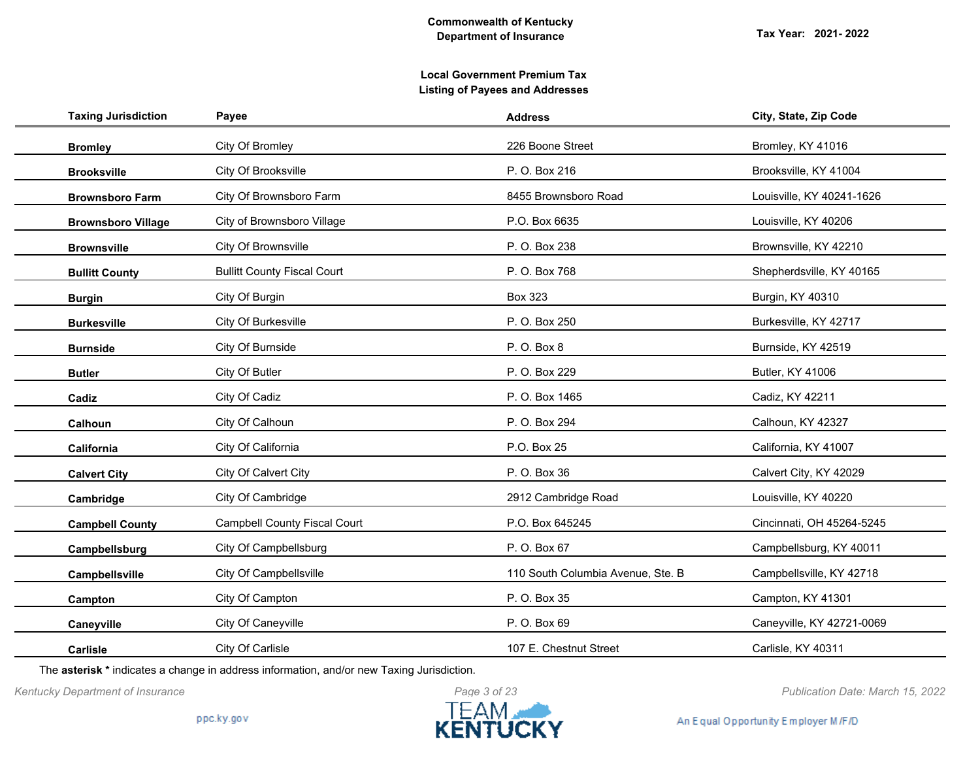| <b>Taxing Jurisdiction</b> | Payee                               | <b>Address</b>                    | City, State, Zip Code     |
|----------------------------|-------------------------------------|-----------------------------------|---------------------------|
| <b>Bromley</b>             | City Of Bromley                     | 226 Boone Street                  | Bromley, KY 41016         |
| <b>Brooksville</b>         | City Of Brooksville                 | P. O. Box 216                     | Brooksville, KY 41004     |
| <b>Brownsboro Farm</b>     | City Of Brownsboro Farm             | 8455 Brownsboro Road              | Louisville, KY 40241-1626 |
| <b>Brownsboro Village</b>  | City of Brownsboro Village          | P.O. Box 6635                     | Louisville, KY 40206      |
| <b>Brownsville</b>         | City Of Brownsville                 | P. O. Box 238                     | Brownsville, KY 42210     |
| <b>Bullitt County</b>      | <b>Bullitt County Fiscal Court</b>  | P. O. Box 768                     | Shepherdsville, KY 40165  |
| <b>Burgin</b>              | City Of Burgin                      | <b>Box 323</b>                    | Burgin, KY 40310          |
| <b>Burkesville</b>         | City Of Burkesville                 | P. O. Box 250                     | Burkesville, KY 42717     |
| <b>Burnside</b>            | City Of Burnside                    | P. O. Box 8                       | Burnside, KY 42519        |
| <b>Butler</b>              | City Of Butler                      | P. O. Box 229                     | <b>Butler, KY 41006</b>   |
| Cadiz                      | City Of Cadiz                       | P. O. Box 1465                    | Cadiz, KY 42211           |
| Calhoun                    | City Of Calhoun                     | P. O. Box 294                     | Calhoun, KY 42327         |
| California                 | City Of California                  | P.O. Box 25                       | California, KY 41007      |
| <b>Calvert City</b>        | City Of Calvert City                | P. O. Box 36                      | Calvert City, KY 42029    |
| Cambridge                  | City Of Cambridge                   | 2912 Cambridge Road               | Louisville, KY 40220      |
| <b>Campbell County</b>     | <b>Campbell County Fiscal Court</b> | P.O. Box 645245                   | Cincinnati, OH 45264-5245 |
| Campbellsburg              | City Of Campbellsburg               | P. O. Box 67                      | Campbellsburg, KY 40011   |
| Campbellsville             | City Of Campbellsville              | 110 South Columbia Avenue, Ste. B | Campbellsville, KY 42718  |
| Campton                    | City Of Campton                     | P. O. Box 35                      | Campton, KY 41301         |
| Caneyville                 | City Of Caneyville                  | P. O. Box 69                      | Caneyville, KY 42721-0069 |
| <b>Carlisle</b>            | City Of Carlisle                    | 107 E. Chestnut Street            | Carlisle, KY 40311        |

The **asterisk \*** indicates a change in address information, and/or new Taxing Jurisdiction.

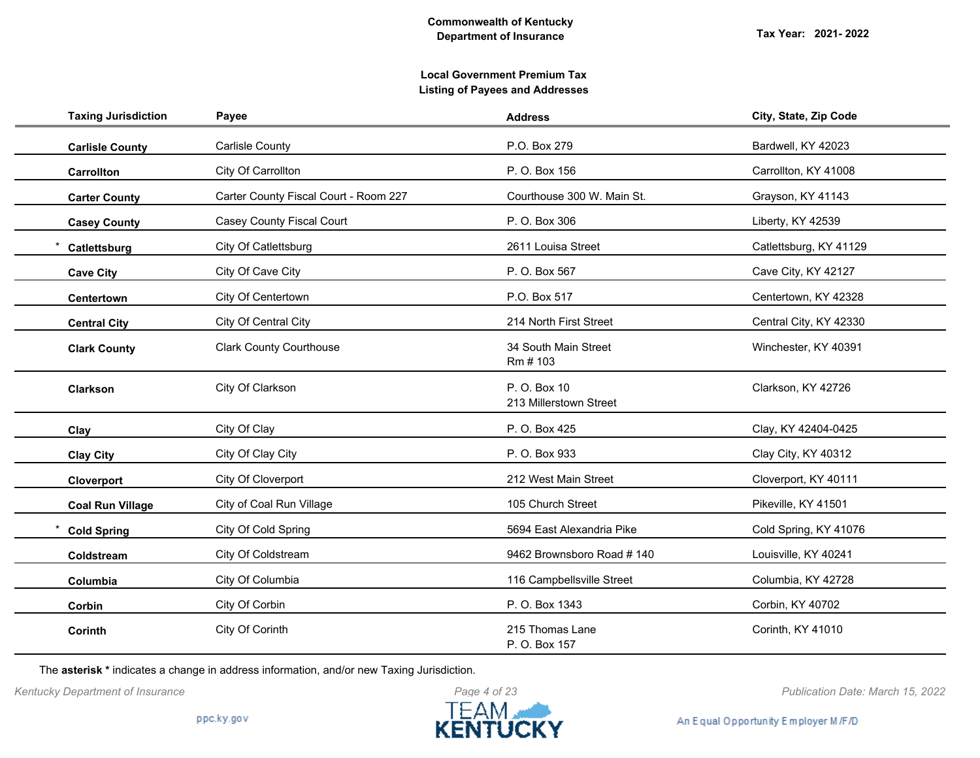| <b>Taxing Jurisdiction</b> | Payee                                 | <b>Address</b>                         | City, State, Zip Code  |
|----------------------------|---------------------------------------|----------------------------------------|------------------------|
| <b>Carlisle County</b>     | <b>Carlisle County</b>                | P.O. Box 279                           | Bardwell, KY 42023     |
| Carrollton                 | City Of Carrollton                    | P. O. Box 156                          | Carrollton, KY 41008   |
| <b>Carter County</b>       | Carter County Fiscal Court - Room 227 | Courthouse 300 W. Main St.             | Grayson, KY 41143      |
| <b>Casey County</b>        | <b>Casey County Fiscal Court</b>      | P. O. Box 306                          | Liberty, KY 42539      |
| Catlettsburg               | City Of Catlettsburg                  | 2611 Louisa Street                     | Catlettsburg, KY 41129 |
| <b>Cave City</b>           | City Of Cave City                     | P. O. Box 567                          | Cave City, KY 42127    |
| Centertown                 | City Of Centertown                    | P.O. Box 517                           | Centertown, KY 42328   |
| <b>Central City</b>        | City Of Central City                  | 214 North First Street                 | Central City, KY 42330 |
| <b>Clark County</b>        | <b>Clark County Courthouse</b>        | 34 South Main Street<br>Rm # 103       | Winchester, KY 40391   |
| Clarkson                   | City Of Clarkson                      | P. O. Box 10<br>213 Millerstown Street | Clarkson, KY 42726     |
| Clay                       | City Of Clay                          | P. O. Box 425                          | Clay, KY 42404-0425    |
| <b>Clay City</b>           | City Of Clay City                     | P. O. Box 933                          | Clay City, KY 40312    |
| Cloverport                 | City Of Cloverport                    | 212 West Main Street                   | Cloverport, KY 40111   |
| <b>Coal Run Village</b>    | City of Coal Run Village              | 105 Church Street                      | Pikeville, KY 41501    |
| <b>Cold Spring</b>         | City Of Cold Spring                   | 5694 East Alexandria Pike              | Cold Spring, KY 41076  |
| Coldstream                 | City Of Coldstream                    | 9462 Brownsboro Road #140              | Louisville, KY 40241   |
| Columbia                   | City Of Columbia                      | 116 Campbellsville Street              | Columbia, KY 42728     |
| Corbin                     | City Of Corbin                        | P. O. Box 1343                         | Corbin, KY 40702       |
| Corinth                    | City Of Corinth                       | 215 Thomas Lane<br>P. O. Box 157       | Corinth, KY 41010      |

The **asterisk \*** indicates a change in address information, and/or new Taxing Jurisdiction.



*Kentucky Department of Insurance Publication Date: March 15, 2022*

An Equal Opportunity Employer M/F/D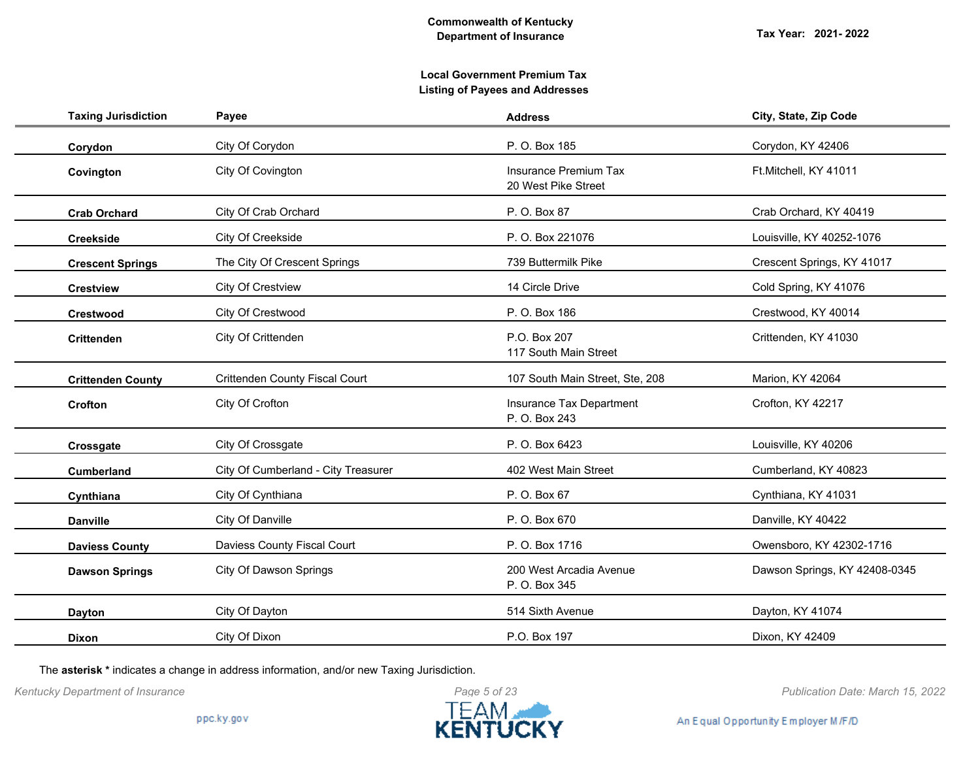| <b>Taxing Jurisdiction</b> | Payee                                 | <b>Address</b>                                      | City, State, Zip Code         |
|----------------------------|---------------------------------------|-----------------------------------------------------|-------------------------------|
| Corydon                    | City Of Corydon                       | P. O. Box 185                                       | Corydon, KY 42406             |
| Covington                  | City Of Covington                     | <b>Insurance Premium Tax</b><br>20 West Pike Street | Ft.Mitchell, KY 41011         |
| <b>Crab Orchard</b>        | City Of Crab Orchard                  | P. O. Box 87                                        | Crab Orchard, KY 40419        |
| <b>Creekside</b>           | City Of Creekside                     | P. O. Box 221076                                    | Louisville, KY 40252-1076     |
| <b>Crescent Springs</b>    | The City Of Crescent Springs          | 739 Buttermilk Pike                                 | Crescent Springs, KY 41017    |
| <b>Crestview</b>           | <b>City Of Crestview</b>              | 14 Circle Drive                                     | Cold Spring, KY 41076         |
| <b>Crestwood</b>           | City Of Crestwood                     | P. O. Box 186                                       | Crestwood, KY 40014           |
| <b>Crittenden</b>          | City Of Crittenden                    | P.O. Box 207<br>117 South Main Street               | Crittenden, KY 41030          |
| <b>Crittenden County</b>   | <b>Crittenden County Fiscal Court</b> | 107 South Main Street, Ste, 208                     | Marion, KY 42064              |
| Crofton                    | City Of Crofton                       | Insurance Tax Department<br>P. O. Box 243           | Crofton, KY 42217             |
| Crossgate                  | City Of Crossgate                     | P. O. Box 6423                                      | Louisville, KY 40206          |
| <b>Cumberland</b>          | City Of Cumberland - City Treasurer   | 402 West Main Street                                | Cumberland, KY 40823          |
| Cynthiana                  | City Of Cynthiana                     | P. O. Box 67                                        | Cynthiana, KY 41031           |
| <b>Danville</b>            | City Of Danville                      | P. O. Box 670                                       | Danville, KY 40422            |
| <b>Daviess County</b>      | Daviess County Fiscal Court           | P. O. Box 1716                                      | Owensboro, KY 42302-1716      |
| <b>Dawson Springs</b>      | City Of Dawson Springs                | 200 West Arcadia Avenue<br>P. O. Box 345            | Dawson Springs, KY 42408-0345 |
| <b>Dayton</b>              | City Of Dayton                        | 514 Sixth Avenue                                    | Dayton, KY 41074              |
| <b>Dixon</b>               | City Of Dixon                         | P.O. Box 197                                        | Dixon, KY 42409               |

The **asterisk \*** indicates a change in address information, and/or new Taxing Jurisdiction.



*Kentucky Department of Insurance Publication Date: March 15, 2022*

An Equal Opportunity Employer M/F/D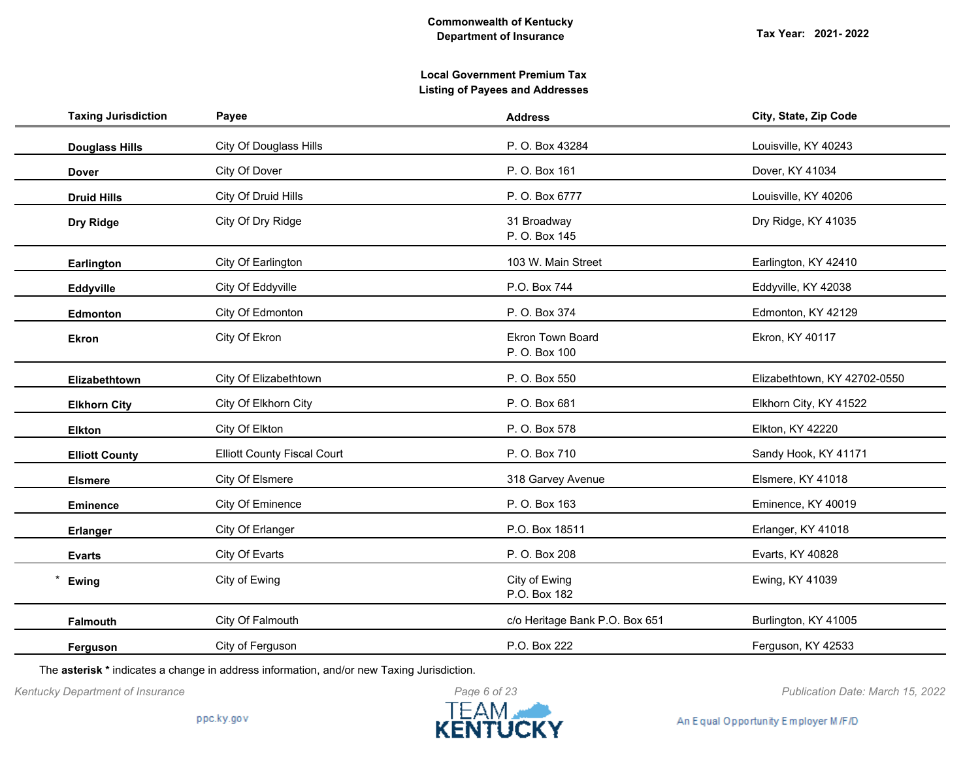| <b>Taxing Jurisdiction</b> | Payee                              | <b>Address</b>                           | City, State, Zip Code        |
|----------------------------|------------------------------------|------------------------------------------|------------------------------|
| <b>Douglass Hills</b>      | <b>City Of Douglass Hills</b>      | P. O. Box 43284                          | Louisville, KY 40243         |
| <b>Dover</b>               | City Of Dover                      | P. O. Box 161                            | Dover, KY 41034              |
| <b>Druid Hills</b>         | City Of Druid Hills                | P. O. Box 6777                           | Louisville, KY 40206         |
| Dry Ridge                  | City Of Dry Ridge                  | 31 Broadway<br>P. O. Box 145             | Dry Ridge, KY 41035          |
| Earlington                 | City Of Earlington                 | 103 W. Main Street                       | Earlington, KY 42410         |
| Eddyville                  | City Of Eddyville                  | P.O. Box 744                             | Eddyville, KY 42038          |
| Edmonton                   | City Of Edmonton                   | P. O. Box 374                            | Edmonton, KY 42129           |
| <b>Ekron</b>               | City Of Ekron                      | <b>Ekron Town Board</b><br>P. O. Box 100 | Ekron, KY 40117              |
| Elizabethtown              | City Of Elizabethtown              | P. O. Box 550                            | Elizabethtown, KY 42702-0550 |
| <b>Elkhorn City</b>        | City Of Elkhorn City               | P. O. Box 681                            | Elkhorn City, KY 41522       |
| <b>Elkton</b>              | City Of Elkton                     | P. O. Box 578                            | Elkton, KY 42220             |
| <b>Elliott County</b>      | <b>Elliott County Fiscal Court</b> | P. O. Box 710                            | Sandy Hook, KY 41171         |
| <b>Elsmere</b>             | City Of Elsmere                    | 318 Garvey Avenue                        | Elsmere, KY 41018            |
| <b>Eminence</b>            | City Of Eminence                   | P. O. Box 163                            | Eminence, KY 40019           |
| <b>Erlanger</b>            | City Of Erlanger                   | P.O. Box 18511                           | Erlanger, KY 41018           |
| <b>Evarts</b>              | City Of Evarts                     | P. O. Box 208                            | Evarts, KY 40828             |
| Ewing                      | City of Ewing                      | City of Ewing<br>P.O. Box 182            | Ewing, KY 41039              |
| Falmouth                   | City Of Falmouth                   | c/o Heritage Bank P.O. Box 651           | Burlington, KY 41005         |
| Ferguson                   | City of Ferguson                   | P.O. Box 222                             | Ferguson, KY 42533           |

The **asterisk \*** indicates a change in address information, and/or new Taxing Jurisdiction.



*Kentucky Department of Insurance Publication Date: March 15, 2022*

An Equal Opportunity Employer M/F/D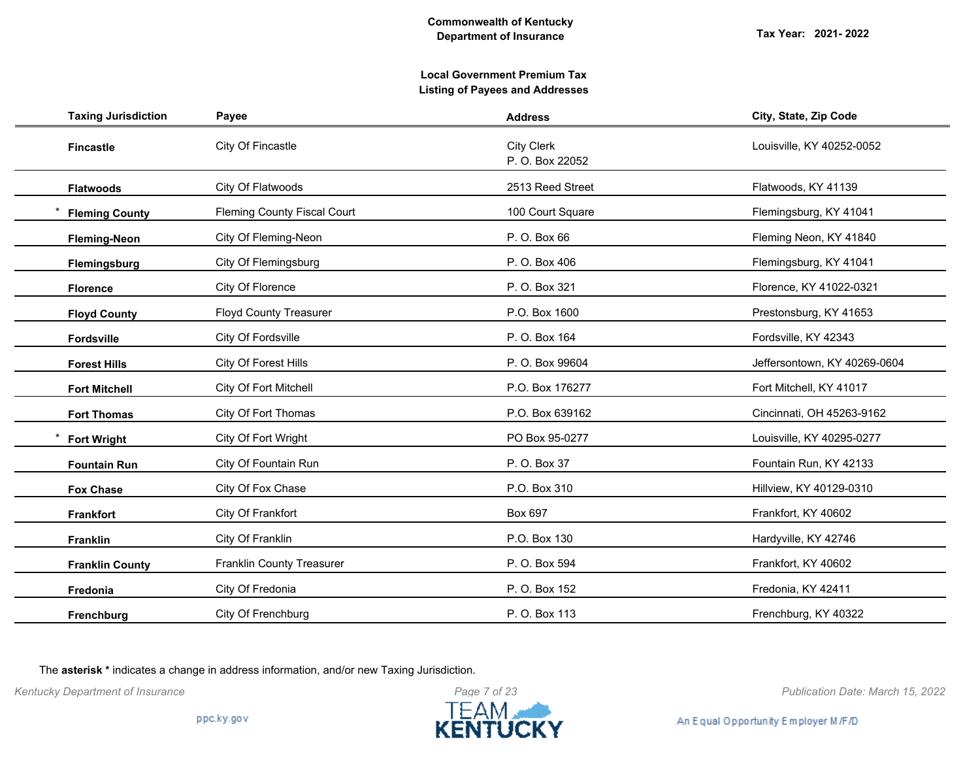# **Local Government Premium Tax Listing of Payees and Addresses**

| <b>Taxing Jurisdiction</b> | Payee                              | <b>Address</b>                       | City, State, Zip Code        |
|----------------------------|------------------------------------|--------------------------------------|------------------------------|
| <b>Fincastle</b>           | City Of Fincastle                  | <b>City Clerk</b><br>P. O. Box 22052 | Louisville, KY 40252-0052    |
| <b>Flatwoods</b>           | City Of Flatwoods                  | 2513 Reed Street                     | Flatwoods, KY 41139          |
| <b>Fleming County</b>      | <b>Fleming County Fiscal Court</b> | 100 Court Square                     | Flemingsburg, KY 41041       |
| <b>Fleming-Neon</b>        | City Of Fleming-Neon               | P. O. Box 66                         | Fleming Neon, KY 41840       |
| Flemingsburg               | City Of Flemingsburg               | P. O. Box 406                        | Flemingsburg, KY 41041       |
| <b>Florence</b>            | City Of Florence                   | P. O. Box 321                        | Florence, KY 41022-0321      |
| <b>Floyd County</b>        | <b>Floyd County Treasurer</b>      | P.O. Box 1600                        | Prestonsburg, KY 41653       |
| Fordsville                 | City Of Fordsville                 | P. O. Box 164                        | Fordsville, KY 42343         |
| <b>Forest Hills</b>        | City Of Forest Hills               | P. O. Box 99604                      | Jeffersontown, KY 40269-0604 |
| <b>Fort Mitchell</b>       | City Of Fort Mitchell              | P.O. Box 176277                      | Fort Mitchell, KY 41017      |
| <b>Fort Thomas</b>         | City Of Fort Thomas                | P.O. Box 639162                      | Cincinnati, OH 45263-9162    |
| <b>Fort Wright</b>         | City Of Fort Wright                | PO Box 95-0277                       | Louisville, KY 40295-0277    |
| <b>Fountain Run</b>        | City Of Fountain Run               | P. O. Box 37                         | Fountain Run, KY 42133       |
| <b>Fox Chase</b>           | City Of Fox Chase                  | P.O. Box 310                         | Hillview, KY 40129-0310      |
| <b>Frankfort</b>           | City Of Frankfort                  | Box 697                              | Frankfort, KY 40602          |
| Franklin                   | City Of Franklin                   | P.O. Box 130                         | Hardyville, KY 42746         |
| <b>Franklin County</b>     | <b>Franklin County Treasurer</b>   | P. O. Box 594                        | Frankfort, KY 40602          |
| Fredonia                   | City Of Fredonia                   | P. O. Box 152                        | Fredonia, KY 42411           |
| Frenchburg                 | City Of Frenchburg                 | P. O. Box 113                        | Frenchburg, KY 40322         |

The **asterisk \*** indicates a change in address information, and/or new Taxing Jurisdiction.



*Kentucky Department of Insurance Publication Date: March 15, 2022*

An Equal Opportunity Employer M/F/D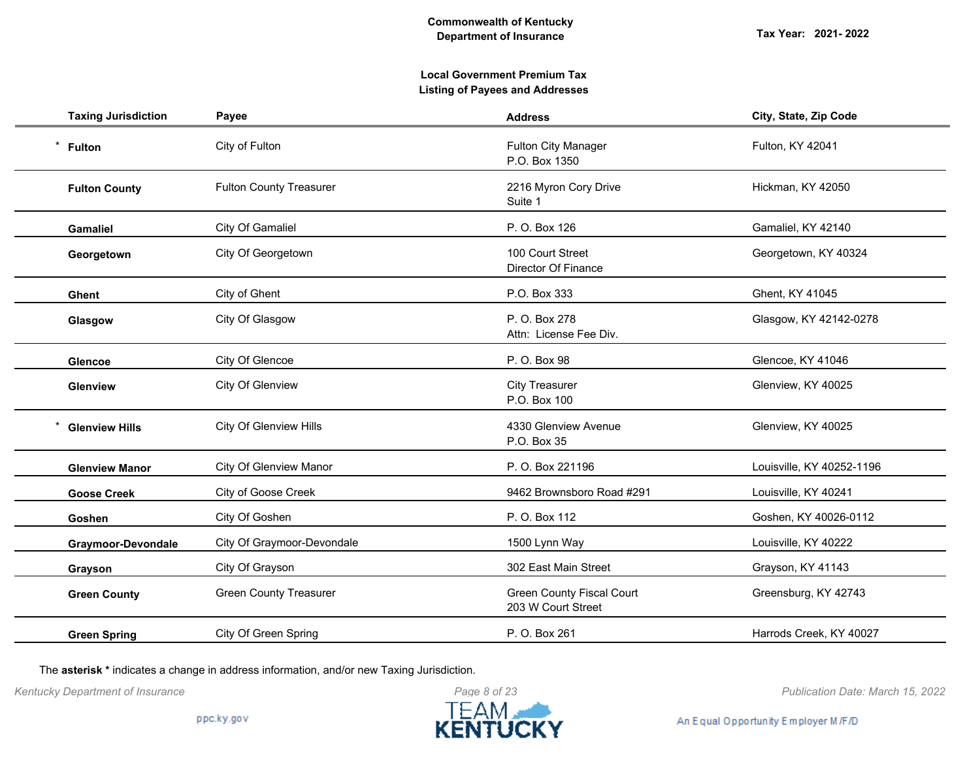# **Local Government Premium Tax Listing of Payees and Addresses**

| <b>Taxing Jurisdiction</b> | Payee                          | <b>Address</b>                                         | City, State, Zip Code     |
|----------------------------|--------------------------------|--------------------------------------------------------|---------------------------|
| $\star$<br><b>Fulton</b>   | City of Fulton                 | <b>Fulton City Manager</b><br>P.O. Box 1350            | Fulton, KY 42041          |
| <b>Fulton County</b>       | <b>Fulton County Treasurer</b> | 2216 Myron Cory Drive<br>Suite 1                       | Hickman, KY 42050         |
| <b>Gamaliel</b>            | City Of Gamaliel               | P. O. Box 126                                          | Gamaliel, KY 42140        |
| Georgetown                 | City Of Georgetown             | 100 Court Street<br>Director Of Finance                | Georgetown, KY 40324      |
| <b>Ghent</b>               | City of Ghent                  | P.O. Box 333                                           | Ghent, KY 41045           |
| Glasgow                    | City Of Glasgow                | P. O. Box 278<br>Attn: License Fee Div.                | Glasgow, KY 42142-0278    |
| <b>Glencoe</b>             | City Of Glencoe                | P. O. Box 98                                           | Glencoe, KY 41046         |
| Glenview                   | City Of Glenview               | <b>City Treasurer</b><br>P.O. Box 100                  | Glenview, KY 40025        |
| <b>Glenview Hills</b>      | City Of Glenview Hills         | 4330 Glenview Avenue<br>P.O. Box 35                    | Glenview, KY 40025        |
| <b>Glenview Manor</b>      | <b>City Of Glenview Manor</b>  | P. O. Box 221196                                       | Louisville, KY 40252-1196 |
| <b>Goose Creek</b>         | City of Goose Creek            | 9462 Brownsboro Road #291                              | Louisville, KY 40241      |
| Goshen                     | City Of Goshen                 | P. O. Box 112                                          | Goshen, KY 40026-0112     |
| Graymoor-Devondale         | City Of Graymoor-Devondale     | 1500 Lynn Way                                          | Louisville, KY 40222      |
| Grayson                    | City Of Grayson                | 302 East Main Street                                   | Grayson, KY 41143         |
| <b>Green County</b>        | <b>Green County Treasurer</b>  | <b>Green County Fiscal Court</b><br>203 W Court Street | Greensburg, KY 42743      |
| <b>Green Spring</b>        | City Of Green Spring           | P. O. Box 261                                          | Harrods Creek, KY 40027   |

The **asterisk \*** indicates a change in address information, and/or new Taxing Jurisdiction.



*Kentucky Department of Insurance Publication Date: March 15, 2022*

An Equal Opportunity Employer M/F/D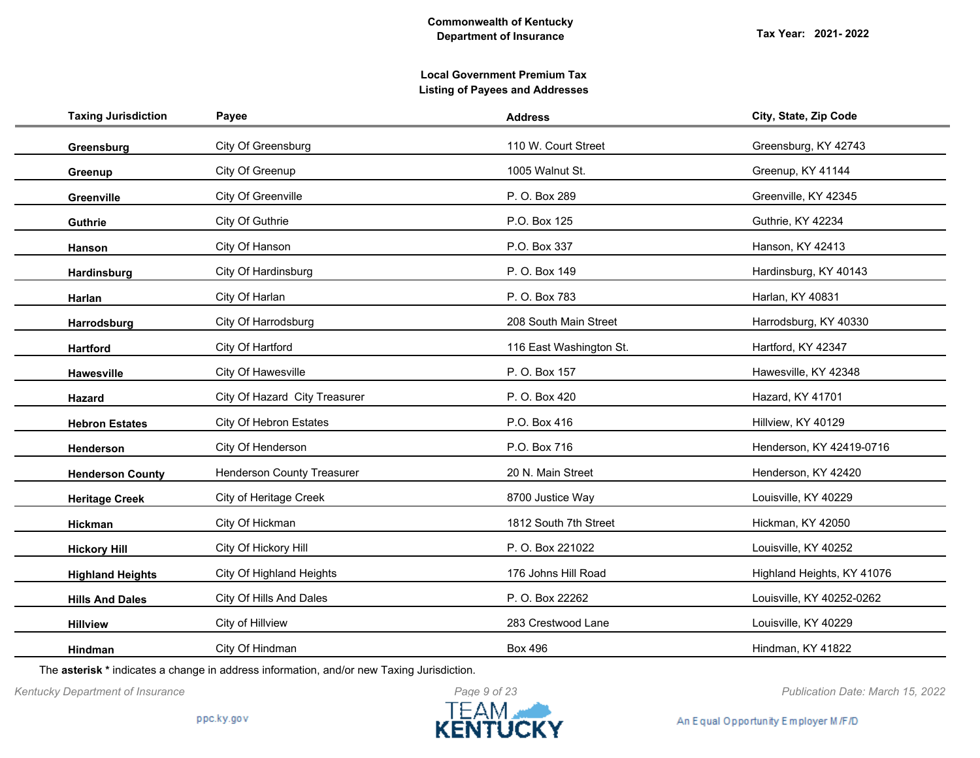| <b>Taxing Jurisdiction</b> | Payee                             | <b>Address</b>          | City, State, Zip Code      |
|----------------------------|-----------------------------------|-------------------------|----------------------------|
| Greensburg                 | City Of Greensburg                | 110 W. Court Street     | Greensburg, KY 42743       |
| Greenup                    | City Of Greenup                   | 1005 Walnut St.         | Greenup, KY 41144          |
| Greenville                 | City Of Greenville                | P. O. Box 289           | Greenville, KY 42345       |
| <b>Guthrie</b>             | City Of Guthrie                   | P.O. Box 125            | Guthrie, KY 42234          |
| Hanson                     | City Of Hanson                    | P.O. Box 337            | Hanson, KY 42413           |
| Hardinsburg                | City Of Hardinsburg               | P.O. Box 149            | Hardinsburg, KY 40143      |
| Harlan                     | City Of Harlan                    | P. O. Box 783           | Harlan, KY 40831           |
| Harrodsburg                | City Of Harrodsburg               | 208 South Main Street   | Harrodsburg, KY 40330      |
| <b>Hartford</b>            | City Of Hartford                  | 116 East Washington St. | Hartford, KY 42347         |
| <b>Hawesville</b>          | City Of Hawesville                | P. O. Box 157           | Hawesville, KY 42348       |
| Hazard                     | City Of Hazard City Treasurer     | P. O. Box 420           | Hazard, KY 41701           |
| <b>Hebron Estates</b>      | City Of Hebron Estates            | P.O. Box 416            | Hillview, KY 40129         |
| Henderson                  | City Of Henderson                 | P.O. Box 716            | Henderson, KY 42419-0716   |
| <b>Henderson County</b>    | <b>Henderson County Treasurer</b> | 20 N. Main Street       | Henderson, KY 42420        |
| <b>Heritage Creek</b>      | City of Heritage Creek            | 8700 Justice Way        | Louisville, KY 40229       |
| <b>Hickman</b>             | City Of Hickman                   | 1812 South 7th Street   | Hickman, KY 42050          |
| <b>Hickory Hill</b>        | City Of Hickory Hill              | P. O. Box 221022        | Louisville, KY 40252       |
| <b>Highland Heights</b>    | City Of Highland Heights          | 176 Johns Hill Road     | Highland Heights, KY 41076 |
| <b>Hills And Dales</b>     | City Of Hills And Dales           | P. O. Box 22262         | Louisville, KY 40252-0262  |
| <b>Hillview</b>            | City of Hillview                  | 283 Crestwood Lane      | Louisville, KY 40229       |
| <b>Hindman</b>             | City Of Hindman                   | <b>Box 496</b>          | Hindman, KY 41822          |

The **asterisk \*** indicates a change in address information, and/or new Taxing Jurisdiction.



*Kentucky Department of Insurance Publication Date: March 15, 2022*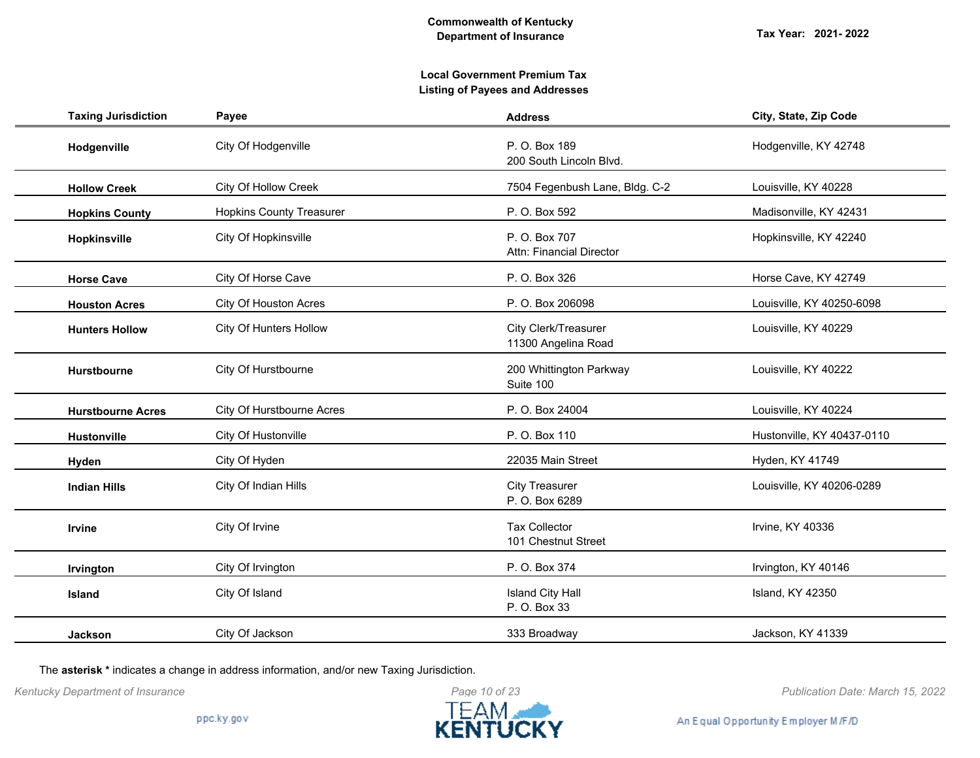# **Local Government Premium Tax Listing of Payees and Addresses**

| <b>Taxing Jurisdiction</b> | Payee                           | <b>Address</b>                              | City, State, Zip Code      |
|----------------------------|---------------------------------|---------------------------------------------|----------------------------|
| Hodgenville                | City Of Hodgenville             | P. O. Box 189<br>200 South Lincoln Blvd.    | Hodgenville, KY 42748      |
| <b>Hollow Creek</b>        | City Of Hollow Creek            | 7504 Fegenbush Lane, Bldg. C-2              | Louisville, KY 40228       |
| <b>Hopkins County</b>      | <b>Hopkins County Treasurer</b> | P. O. Box 592                               | Madisonville, KY 42431     |
| Hopkinsville               | City Of Hopkinsville            | P. O. Box 707<br>Attn: Financial Director   | Hopkinsville, KY 42240     |
| <b>Horse Cave</b>          | City Of Horse Cave              | P. O. Box 326                               | Horse Cave, KY 42749       |
| <b>Houston Acres</b>       | City Of Houston Acres           | P. O. Box 206098                            | Louisville, KY 40250-6098  |
| <b>Hunters Hollow</b>      | City Of Hunters Hollow          | City Clerk/Treasurer<br>11300 Angelina Road | Louisville, KY 40229       |
| Hurstbourne                | City Of Hurstbourne             | 200 Whittington Parkway<br>Suite 100        | Louisville, KY 40222       |
| <b>Hurstbourne Acres</b>   | City Of Hurstbourne Acres       | P. O. Box 24004                             | Louisville, KY 40224       |
| <b>Hustonville</b>         | City Of Hustonville             | P. O. Box 110                               | Hustonville, KY 40437-0110 |
| Hyden                      | City Of Hyden                   | 22035 Main Street                           | Hyden, KY 41749            |
| <b>Indian Hills</b>        | City Of Indian Hills            | <b>City Treasurer</b><br>P. O. Box 6289     | Louisville, KY 40206-0289  |
| <b>Irvine</b>              | City Of Irvine                  | <b>Tax Collector</b><br>101 Chestnut Street | Irvine, KY 40336           |
| Irvington                  | City Of Irvington               | P. O. Box 374                               | Irvington, KY 40146        |
| <b>Island</b>              | City Of Island                  | <b>Island City Hall</b><br>P. O. Box 33     | Island, KY 42350           |
| <b>Jackson</b>             | City Of Jackson                 | 333 Broadway                                | Jackson, KY 41339          |

The **asterisk \*** indicates a change in address information, and/or new Taxing Jurisdiction.



*Kentucky Department of Insurance Publication Date: March 15, 2022*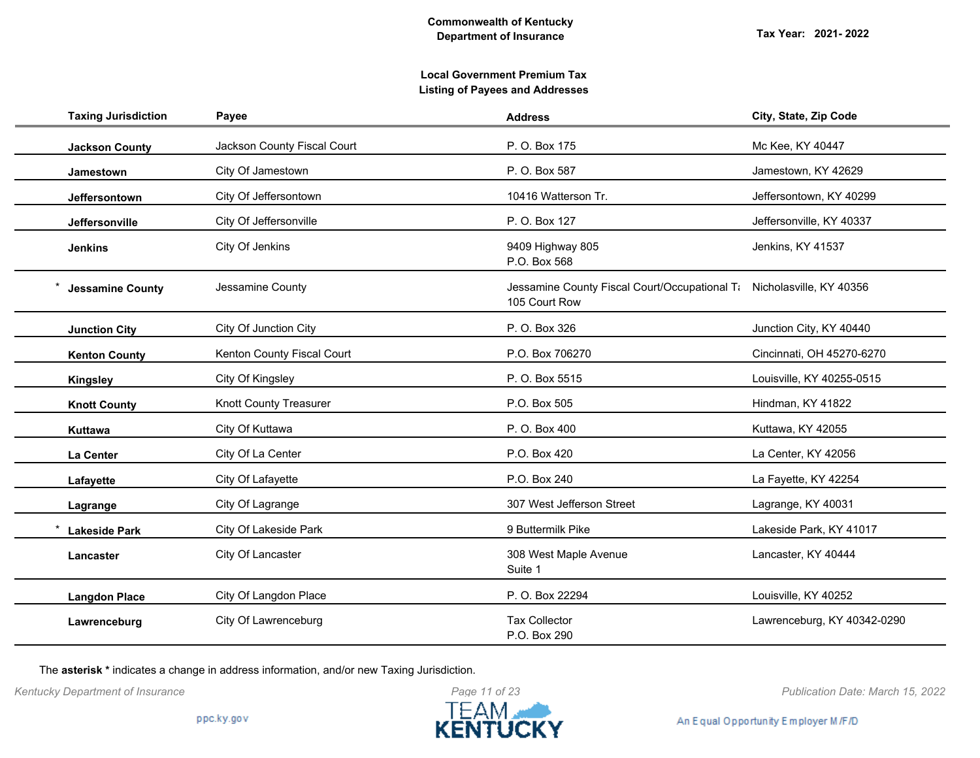| <b>Taxing Jurisdiction</b> | Payee                       | <b>Address</b>                                                                         | City, State, Zip Code       |
|----------------------------|-----------------------------|----------------------------------------------------------------------------------------|-----------------------------|
| <b>Jackson County</b>      | Jackson County Fiscal Court | P. O. Box 175                                                                          | Mc Kee, KY 40447            |
| Jamestown                  | City Of Jamestown           | P. O. Box 587                                                                          | Jamestown, KY 42629         |
| Jeffersontown              | City Of Jeffersontown       | 10416 Watterson Tr.                                                                    | Jeffersontown, KY 40299     |
| Jeffersonville             | City Of Jeffersonville      | P. O. Box 127                                                                          | Jeffersonville, KY 40337    |
| <b>Jenkins</b>             | City Of Jenkins             | 9409 Highway 805<br>P.O. Box 568                                                       | Jenkins, KY 41537           |
| <b>Jessamine County</b>    | Jessamine County            | Jessamine County Fiscal Court/Occupational Ti Nicholasville, KY 40356<br>105 Court Row |                             |
| <b>Junction City</b>       | City Of Junction City       | P. O. Box 326                                                                          | Junction City, KY 40440     |
| <b>Kenton County</b>       | Kenton County Fiscal Court  | P.O. Box 706270                                                                        | Cincinnati, OH 45270-6270   |
| <b>Kingsley</b>            | City Of Kingsley            | P. O. Box 5515                                                                         | Louisville, KY 40255-0515   |
| <b>Knott County</b>        | Knott County Treasurer      | P.O. Box 505                                                                           | Hindman, KY 41822           |
| Kuttawa                    | City Of Kuttawa             | P. O. Box 400                                                                          | Kuttawa, KY 42055           |
| La Center                  | City Of La Center           | P.O. Box 420                                                                           | La Center, KY 42056         |
| Lafayette                  | City Of Lafayette           | P.O. Box 240                                                                           | La Fayette, KY 42254        |
| Lagrange                   | City Of Lagrange            | 307 West Jefferson Street                                                              | Lagrange, KY 40031          |
| <b>Lakeside Park</b>       | City Of Lakeside Park       | 9 Buttermilk Pike                                                                      | Lakeside Park, KY 41017     |
| Lancaster                  | City Of Lancaster           | 308 West Maple Avenue<br>Suite 1                                                       | Lancaster, KY 40444         |
| <b>Langdon Place</b>       | City Of Langdon Place       | P. O. Box 22294                                                                        | Louisville, KY 40252        |
| Lawrenceburg               | City Of Lawrenceburg        | <b>Tax Collector</b><br>P.O. Box 290                                                   | Lawrenceburg, KY 40342-0290 |

The **asterisk \*** indicates a change in address information, and/or new Taxing Jurisdiction.



*Kentucky Department of Insurance Publication Date: March 15, 2022*

An Equal Opportunity Employer M/F/D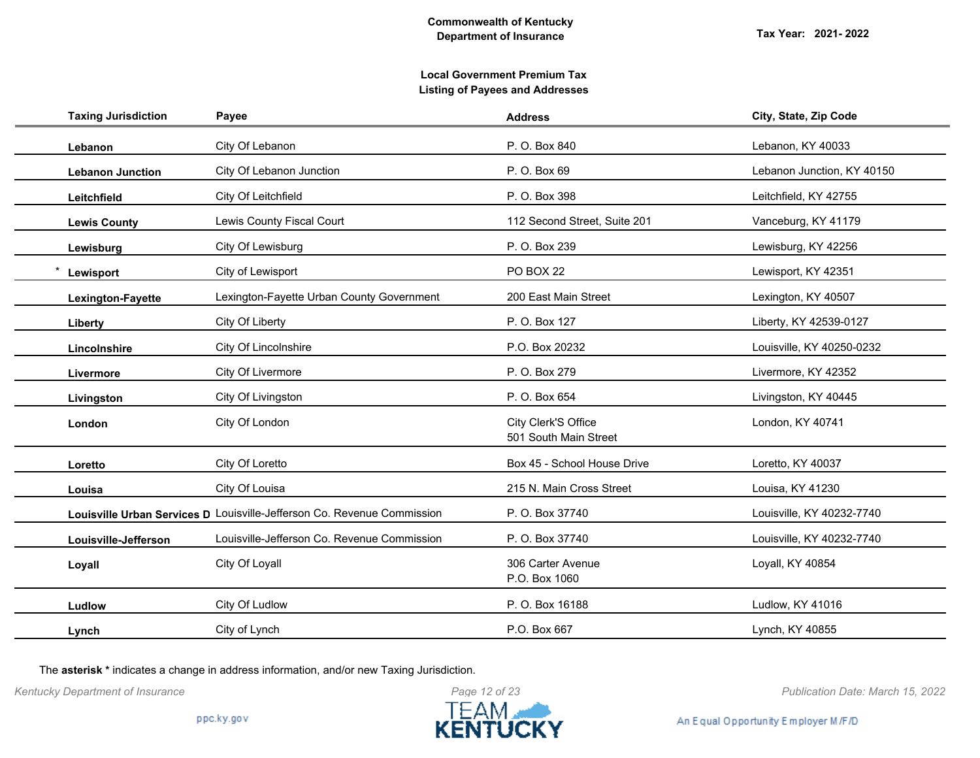|           | <b>Taxing Jurisdiction</b> | Payee                                                                   | <b>Address</b>                               | City, State, Zip Code      |
|-----------|----------------------------|-------------------------------------------------------------------------|----------------------------------------------|----------------------------|
| Lebanon   |                            | City Of Lebanon                                                         | P. O. Box 840                                | Lebanon, KY 40033          |
|           | <b>Lebanon Junction</b>    | City Of Lebanon Junction                                                | P. O. Box 69                                 | Lebanon Junction, KY 40150 |
|           | Leitchfield                | City Of Leitchfield                                                     | P. O. Box 398                                | Leitchfield, KY 42755      |
|           | <b>Lewis County</b>        | Lewis County Fiscal Court                                               | 112 Second Street, Suite 201                 | Vanceburg, KY 41179        |
|           | Lewisburg                  | City Of Lewisburg                                                       | P. O. Box 239                                | Lewisburg, KY 42256        |
| Lewisport |                            | City of Lewisport                                                       | PO BOX 22                                    | Lewisport, KY 42351        |
|           | Lexington-Fayette          | Lexington-Fayette Urban County Government                               | 200 East Main Street                         | Lexington, KY 40507        |
| Liberty   |                            | City Of Liberty                                                         | P. O. Box 127                                | Liberty, KY 42539-0127     |
|           | Lincolnshire               | City Of Lincolnshire                                                    | P.O. Box 20232                               | Louisville, KY 40250-0232  |
| Livermore |                            | City Of Livermore                                                       | P. O. Box 279                                | Livermore, KY 42352        |
|           | Livingston                 | City Of Livingston                                                      | P. O. Box 654                                | Livingston, KY 40445       |
| London    |                            | City Of London                                                          | City Clerk'S Office<br>501 South Main Street | London, KY 40741           |
| Loretto   |                            | City Of Loretto                                                         | Box 45 - School House Drive                  | Loretto, KY 40037          |
| Louisa    |                            | City Of Louisa                                                          | 215 N. Main Cross Street                     | Louisa, KY 41230           |
|           |                            | Louisville Urban Services D Louisville-Jefferson Co. Revenue Commission | P. O. Box 37740                              | Louisville, KY 40232-7740  |
|           | Louisville-Jefferson       | Louisville-Jefferson Co. Revenue Commission                             | P. O. Box 37740                              | Louisville, KY 40232-7740  |
| Loyall    |                            | City Of Loyall                                                          | 306 Carter Avenue<br>P.O. Box 1060           | Loyall, KY 40854           |
| Ludlow    |                            | City Of Ludlow                                                          | P. O. Box 16188                              | Ludlow, KY 41016           |
| Lynch     |                            | City of Lynch                                                           | P.O. Box 667                                 | Lynch, KY 40855            |
|           |                            |                                                                         |                                              |                            |

The **asterisk \*** indicates a change in address information, and/or new Taxing Jurisdiction.



*Kentucky Department of Insurance Publication Date: March 15, 2022*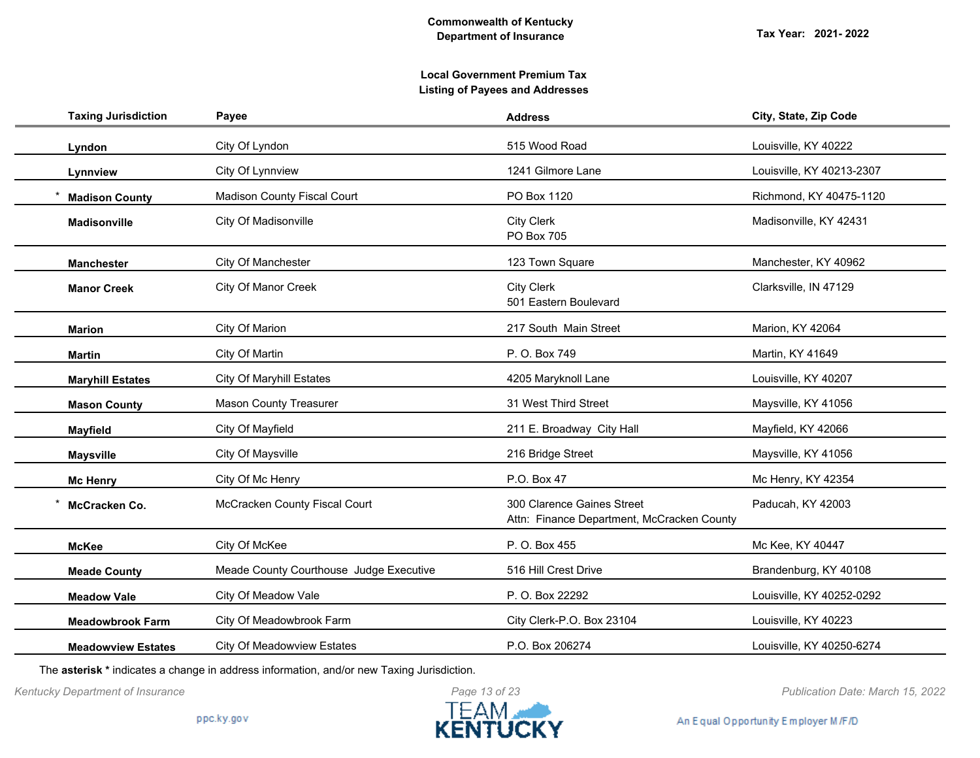| <b>Taxing Jurisdiction</b> | Payee                                   | <b>Address</b>                                                           | City, State, Zip Code     |
|----------------------------|-----------------------------------------|--------------------------------------------------------------------------|---------------------------|
| Lyndon                     | City Of Lyndon                          | 515 Wood Road                                                            | Louisville, KY 40222      |
| Lynnview                   | City Of Lynnview                        | 1241 Gilmore Lane                                                        | Louisville, KY 40213-2307 |
| <b>Madison County</b>      | <b>Madison County Fiscal Court</b>      | PO Box 1120                                                              | Richmond, KY 40475-1120   |
| <b>Madisonville</b>        | City Of Madisonville                    | <b>City Clerk</b><br>PO Box 705                                          | Madisonville, KY 42431    |
| <b>Manchester</b>          | City Of Manchester                      | 123 Town Square                                                          | Manchester, KY 40962      |
| <b>Manor Creek</b>         | <b>City Of Manor Creek</b>              | <b>City Clerk</b><br>501 Eastern Boulevard                               | Clarksville, IN 47129     |
| <b>Marion</b>              | City Of Marion                          | 217 South Main Street                                                    | Marion, KY 42064          |
| <b>Martin</b>              | City Of Martin                          | P. O. Box 749                                                            | Martin, KY 41649          |
| <b>Maryhill Estates</b>    | <b>City Of Maryhill Estates</b>         | 4205 Maryknoll Lane                                                      | Louisville, KY 40207      |
| <b>Mason County</b>        | <b>Mason County Treasurer</b>           | 31 West Third Street                                                     | Maysville, KY 41056       |
| <b>Mayfield</b>            | City Of Mayfield                        | 211 E. Broadway City Hall                                                | Mayfield, KY 42066        |
| <b>Maysville</b>           | City Of Maysville                       | 216 Bridge Street                                                        | Maysville, KY 41056       |
| <b>Mc Henry</b>            | City Of Mc Henry                        | P.O. Box 47                                                              | Mc Henry, KY 42354        |
| McCracken Co.              | McCracken County Fiscal Court           | 300 Clarence Gaines Street<br>Attn: Finance Department, McCracken County | Paducah, KY 42003         |
| <b>McKee</b>               | City Of McKee                           | P. O. Box 455                                                            | Mc Kee, KY 40447          |
| <b>Meade County</b>        | Meade County Courthouse Judge Executive | 516 Hill Crest Drive                                                     | Brandenburg, KY 40108     |
| <b>Meadow Vale</b>         | City Of Meadow Vale                     | P. O. Box 22292                                                          | Louisville, KY 40252-0292 |
| <b>Meadowbrook Farm</b>    | City Of Meadowbrook Farm                | City Clerk-P.O. Box 23104                                                | Louisville, KY 40223      |
| <b>Meadowview Estates</b>  | <b>City Of Meadowview Estates</b>       | P.O. Box 206274                                                          | Louisville, KY 40250-6274 |

The **asterisk \*** indicates a change in address information, and/or new Taxing Jurisdiction.

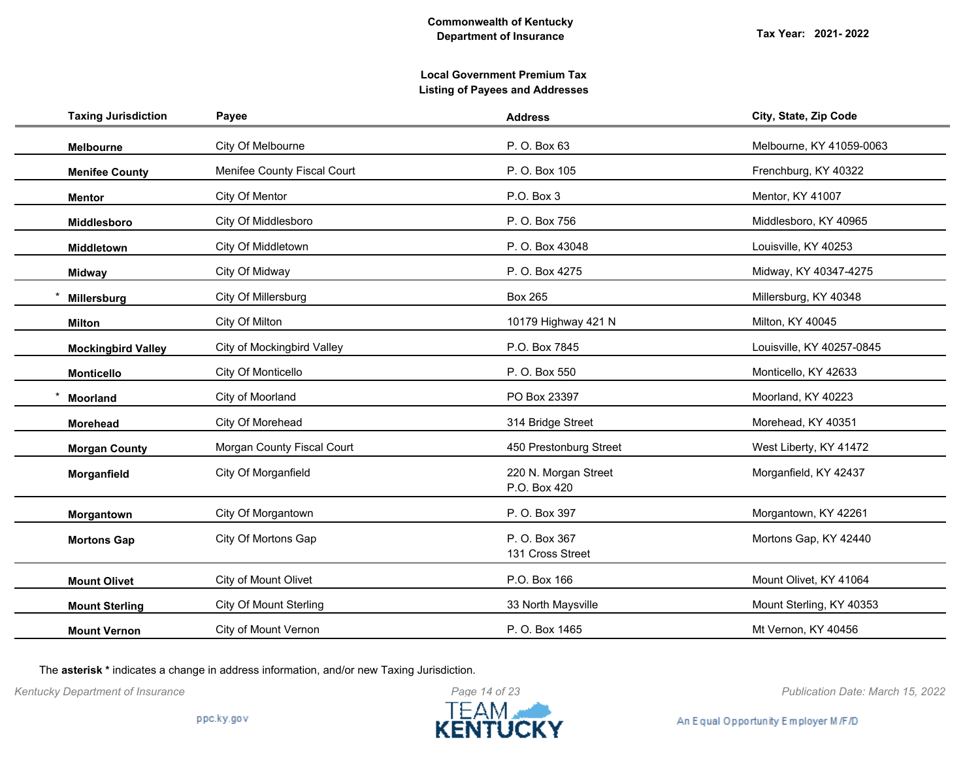# **Local Government Premium Tax Listing of Payees and Addresses**

| <b>Taxing Jurisdiction</b> | Payee                         | <b>Address</b>                       | City, State, Zip Code     |
|----------------------------|-------------------------------|--------------------------------------|---------------------------|
| <b>Melbourne</b>           | City Of Melbourne             | P. O. Box 63                         | Melbourne, KY 41059-0063  |
| <b>Menifee County</b>      | Menifee County Fiscal Court   | P. O. Box 105                        | Frenchburg, KY 40322      |
| <b>Mentor</b>              | City Of Mentor                | P.O. Box 3                           | Mentor, KY 41007          |
| Middlesboro                | City Of Middlesboro           | P. O. Box 756                        | Middlesboro, KY 40965     |
| Middletown                 | City Of Middletown            | P. O. Box 43048                      | Louisville, KY 40253      |
| <b>Midway</b>              | City Of Midway                | P. O. Box 4275                       | Midway, KY 40347-4275     |
| Millersburg                | City Of Millersburg           | <b>Box 265</b>                       | Millersburg, KY 40348     |
| <b>Milton</b>              | City Of Milton                | 10179 Highway 421 N                  | Milton, KY 40045          |
| <b>Mockingbird Valley</b>  | City of Mockingbird Valley    | P.O. Box 7845                        | Louisville, KY 40257-0845 |
| <b>Monticello</b>          | City Of Monticello            | P. O. Box 550                        | Monticello, KY 42633      |
| <b>Moorland</b>            | City of Moorland              | PO Box 23397                         | Moorland, KY 40223        |
| <b>Morehead</b>            | City Of Morehead              | 314 Bridge Street                    | Morehead, KY 40351        |
| <b>Morgan County</b>       | Morgan County Fiscal Court    | 450 Prestonburg Street               | West Liberty, KY 41472    |
| Morganfield                | City Of Morganfield           | 220 N. Morgan Street<br>P.O. Box 420 | Morganfield, KY 42437     |
| Morgantown                 | City Of Morgantown            | P. O. Box 397                        | Morgantown, KY 42261      |
| <b>Mortons Gap</b>         | City Of Mortons Gap           | P. O. Box 367<br>131 Cross Street    | Mortons Gap, KY 42440     |
| <b>Mount Olivet</b>        | City of Mount Olivet          | P.O. Box 166                         | Mount Olivet, KY 41064    |
| <b>Mount Sterling</b>      | <b>City Of Mount Sterling</b> | 33 North Maysville                   | Mount Sterling, KY 40353  |
| <b>Mount Vernon</b>        | City of Mount Vernon          | P. O. Box 1465                       | Mt Vernon, KY 40456       |

The **asterisk \*** indicates a change in address information, and/or new Taxing Jurisdiction.



*Kentucky Department of Insurance Publication Date: March 15, 2022*

An Equal Opportunity Employer M/F/D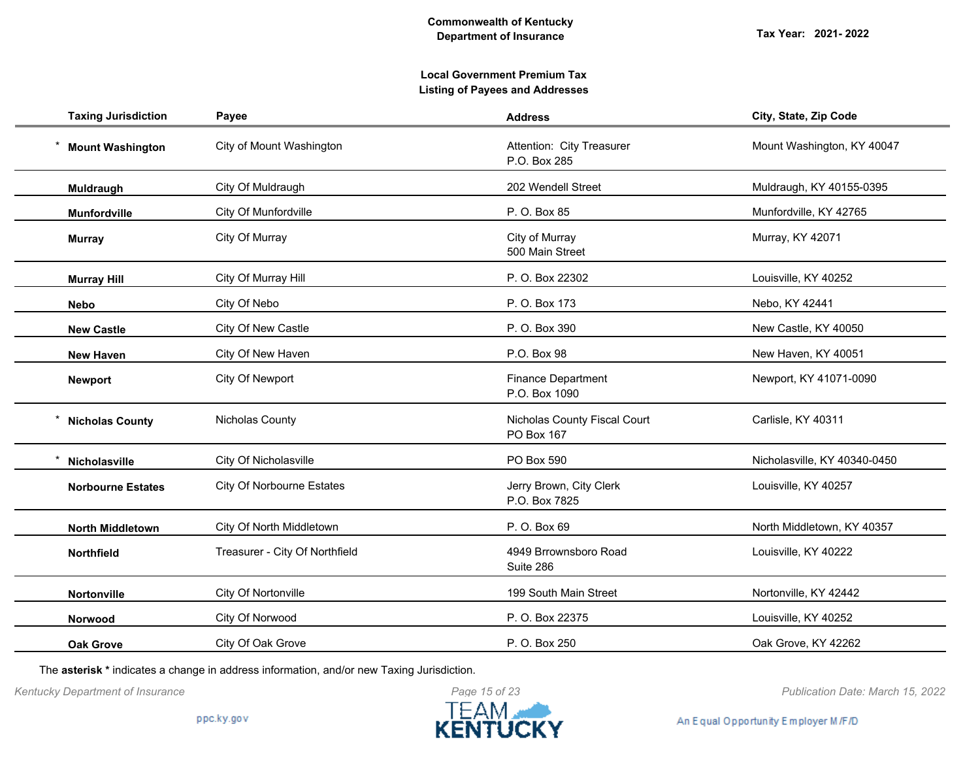# **Local Government Premium Tax Listing of Payees and Addresses**

| <b>Taxing Jurisdiction</b> | Payee                            | <b>Address</b>                             | City, State, Zip Code        |
|----------------------------|----------------------------------|--------------------------------------------|------------------------------|
| <b>Mount Washington</b>    | City of Mount Washington         | Attention: City Treasurer<br>P.O. Box 285  | Mount Washington, KY 40047   |
| Muldraugh                  | City Of Muldraugh                | 202 Wendell Street                         | Muldraugh, KY 40155-0395     |
| <b>Munfordville</b>        | City Of Munfordville             | P. O. Box 85                               | Munfordville, KY 42765       |
| <b>Murray</b>              | City Of Murray                   | City of Murray<br>500 Main Street          | Murray, KY 42071             |
| <b>Murray Hill</b>         | City Of Murray Hill              | P. O. Box 22302                            | Louisville, KY 40252         |
| <b>Nebo</b>                | City Of Nebo                     | P. O. Box 173                              | Nebo, KY 42441               |
| <b>New Castle</b>          | City Of New Castle               | P. O. Box 390                              | New Castle, KY 40050         |
| <b>New Haven</b>           | City Of New Haven                | P.O. Box 98                                | New Haven, KY 40051          |
| <b>Newport</b>             | City Of Newport                  | <b>Finance Department</b><br>P.O. Box 1090 | Newport, KY 41071-0090       |
| <b>Nicholas County</b>     | Nicholas County                  | Nicholas County Fiscal Court<br>PO Box 167 | Carlisle, KY 40311           |
| Nicholasville              | City Of Nicholasville            | PO Box 590                                 | Nicholasville, KY 40340-0450 |
| <b>Norbourne Estates</b>   | <b>City Of Norbourne Estates</b> | Jerry Brown, City Clerk<br>P.O. Box 7825   | Louisville, KY 40257         |
| <b>North Middletown</b>    | City Of North Middletown         | P. O. Box 69                               | North Middletown, KY 40357   |
| Northfield                 | Treasurer - City Of Northfield   | 4949 Brrownsboro Road<br>Suite 286         | Louisville, KY 40222         |
| Nortonville                | City Of Nortonville              | 199 South Main Street                      | Nortonville, KY 42442        |
| Norwood                    | City Of Norwood                  | P. O. Box 22375                            | Louisville, KY 40252         |
| <b>Oak Grove</b>           | City Of Oak Grove                | P. O. Box 250                              | Oak Grove, KY 42262          |

The **asterisk \*** indicates a change in address information, and/or new Taxing Jurisdiction.



*Kentucky Department of Insurance Publication Date: March 15, 2022*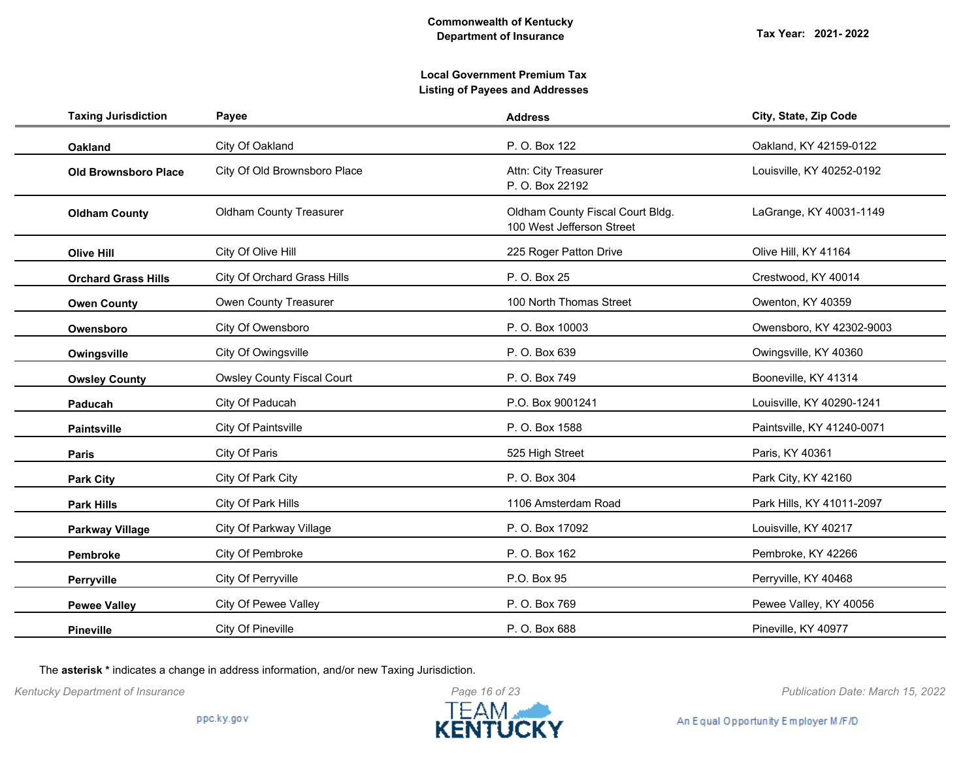| <b>Taxing Jurisdiction</b>  | Payee                             | <b>Address</b>                                                | City, State, Zip Code      |
|-----------------------------|-----------------------------------|---------------------------------------------------------------|----------------------------|
| <b>Oakland</b>              | City Of Oakland                   | P. O. Box 122                                                 | Oakland, KY 42159-0122     |
| <b>Old Brownsboro Place</b> | City Of Old Brownsboro Place      | Attn: City Treasurer<br>P. O. Box 22192                       | Louisville, KY 40252-0192  |
| <b>Oldham County</b>        | <b>Oldham County Treasurer</b>    | Oldham County Fiscal Court Bldg.<br>100 West Jefferson Street | LaGrange, KY 40031-1149    |
| <b>Olive Hill</b>           | City Of Olive Hill                | 225 Roger Patton Drive                                        | Olive Hill, KY 41164       |
| <b>Orchard Grass Hills</b>  | City Of Orchard Grass Hills       | P. O. Box 25                                                  | Crestwood, KY 40014        |
| <b>Owen County</b>          | Owen County Treasurer             | 100 North Thomas Street                                       | Owenton, KY 40359          |
| Owensboro                   | City Of Owensboro                 | P. O. Box 10003                                               | Owensboro, KY 42302-9003   |
| Owingsville                 | City Of Owingsville               | P. O. Box 639                                                 | Owingsville, KY 40360      |
| <b>Owsley County</b>        | <b>Owsley County Fiscal Court</b> | P. O. Box 749                                                 | Booneville, KY 41314       |
| Paducah                     | City Of Paducah                   | P.O. Box 9001241                                              | Louisville, KY 40290-1241  |
| Paintsville                 | City Of Paintsville               | P. O. Box 1588                                                | Paintsville, KY 41240-0071 |
| Paris                       | City Of Paris                     | 525 High Street                                               | Paris, KY 40361            |
| <b>Park City</b>            | City Of Park City                 | P. O. Box 304                                                 | Park City, KY 42160        |
| <b>Park Hills</b>           | City Of Park Hills                | 1106 Amsterdam Road                                           | Park Hills, KY 41011-2097  |
| <b>Parkway Village</b>      | City Of Parkway Village           | P. O. Box 17092                                               | Louisville, KY 40217       |
| Pembroke                    | City Of Pembroke                  | P. O. Box 162                                                 | Pembroke, KY 42266         |
| Perryville                  | City Of Perryville                | P.O. Box 95                                                   | Perryville, KY 40468       |
| <b>Pewee Valley</b>         | City Of Pewee Valley              | P. O. Box 769                                                 | Pewee Valley, KY 40056     |
| Pineville                   | City Of Pineville                 | P. O. Box 688                                                 | Pineville, KY 40977        |

The **asterisk \*** indicates a change in address information, and/or new Taxing Jurisdiction.



*Kentucky Department of Insurance Publication Date: March 15, 2022*

An Equal Opportunity Employer M/F/D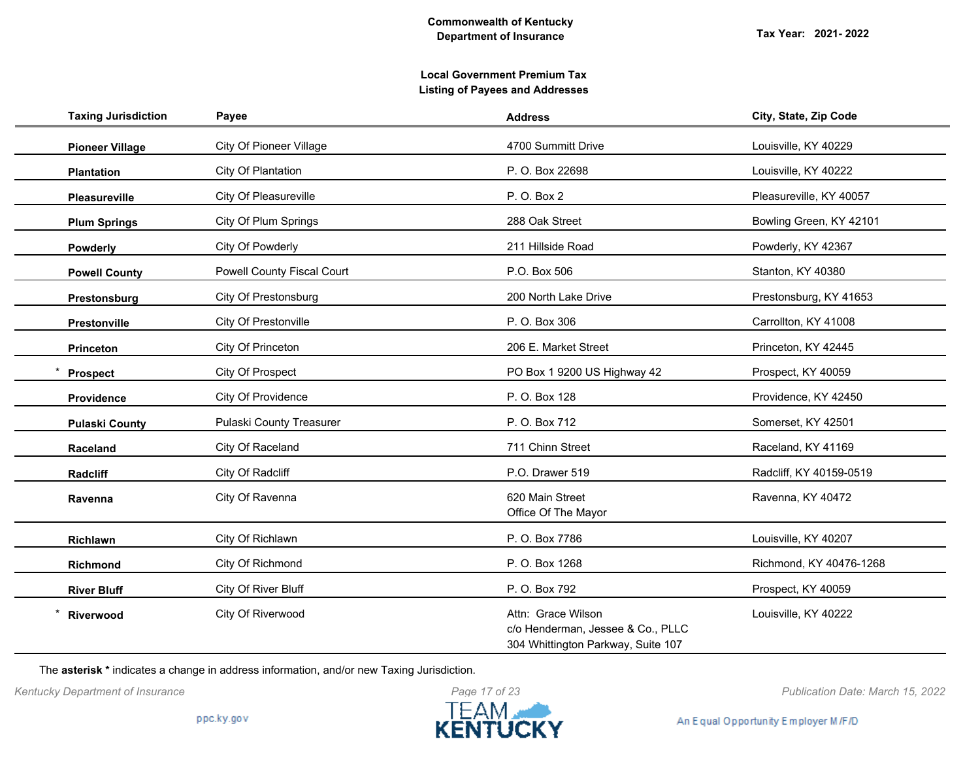| <b>Taxing Jurisdiction</b> | Payee                             | <b>Address</b>                                                                                | City, State, Zip Code   |
|----------------------------|-----------------------------------|-----------------------------------------------------------------------------------------------|-------------------------|
| <b>Pioneer Village</b>     | <b>City Of Pioneer Village</b>    | 4700 Summitt Drive                                                                            | Louisville, KY 40229    |
| <b>Plantation</b>          | City Of Plantation                | P. O. Box 22698                                                                               | Louisville, KY 40222    |
| <b>Pleasureville</b>       | City Of Pleasureville             | P. O. Box 2                                                                                   | Pleasureville, KY 40057 |
| <b>Plum Springs</b>        | City Of Plum Springs              | 288 Oak Street                                                                                | Bowling Green, KY 42101 |
| <b>Powderly</b>            | City Of Powderly                  | 211 Hillside Road                                                                             | Powderly, KY 42367      |
| <b>Powell County</b>       | <b>Powell County Fiscal Court</b> | P.O. Box 506                                                                                  | Stanton, KY 40380       |
| Prestonsburg               | City Of Prestonsburg              | 200 North Lake Drive                                                                          | Prestonsburg, KY 41653  |
| Prestonville               | City Of Prestonville              | P. O. Box 306                                                                                 | Carrollton, KY 41008    |
| Princeton                  | City Of Princeton                 | 206 E. Market Street                                                                          | Princeton, KY 42445     |
| <b>Prospect</b>            | City Of Prospect                  | PO Box 1 9200 US Highway 42                                                                   | Prospect, KY 40059      |
| Providence                 | City Of Providence                | P. O. Box 128                                                                                 | Providence, KY 42450    |
| <b>Pulaski County</b>      | Pulaski County Treasurer          | P. O. Box 712                                                                                 | Somerset, KY 42501      |
| Raceland                   | City Of Raceland                  | 711 Chinn Street                                                                              | Raceland, KY 41169      |
| Radcliff                   | City Of Radcliff                  | P.O. Drawer 519                                                                               | Radcliff, KY 40159-0519 |
| Ravenna                    | City Of Ravenna                   | 620 Main Street<br>Office Of The Mayor                                                        | Ravenna, KY 40472       |
| Richlawn                   | City Of Richlawn                  | P. O. Box 7786                                                                                | Louisville, KY 40207    |
| <b>Richmond</b>            | City Of Richmond                  | P. O. Box 1268                                                                                | Richmond, KY 40476-1268 |
| <b>River Bluff</b>         | City Of River Bluff               | P. O. Box 792                                                                                 | Prospect, KY 40059      |
| Riverwood                  | City Of Riverwood                 | Attn: Grace Wilson<br>c/o Henderman, Jessee & Co., PLLC<br>304 Whittington Parkway, Suite 107 | Louisville, KY 40222    |

The **asterisk \*** indicates a change in address information, and/or new Taxing Jurisdiction.



*Kentucky Department of Insurance Publication Date: March 15, 2022*

An Equal Opportunity Employer M/F/D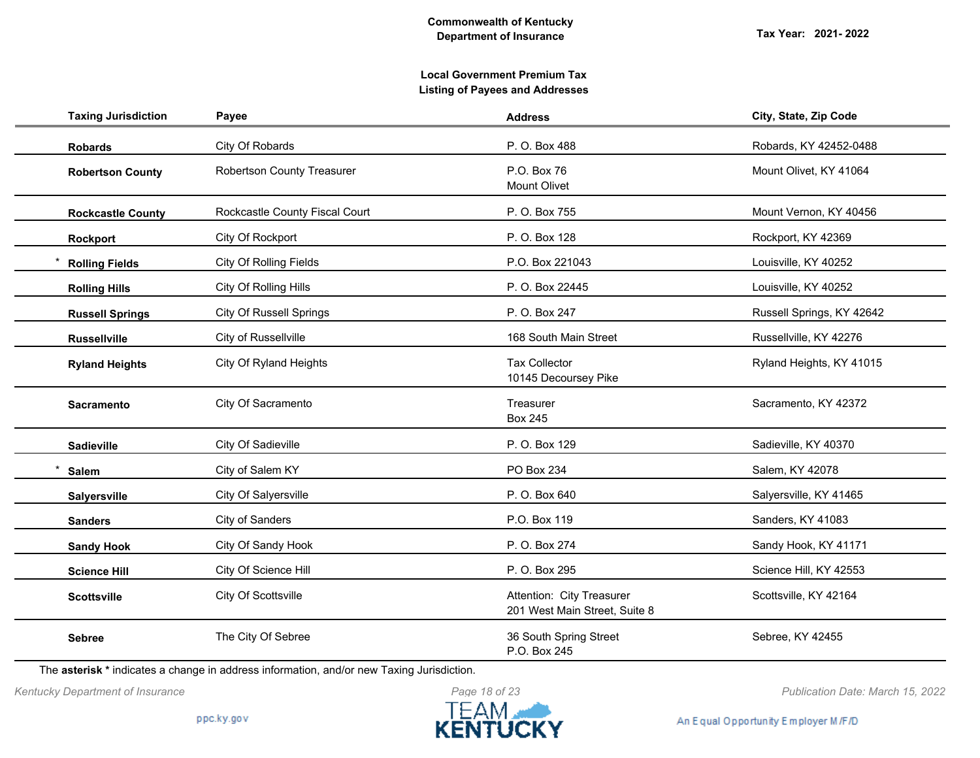# **Local Government Premium Tax Listing of Payees and Addresses**

| <b>Taxing Jurisdiction</b> | Payee                             | <b>Address</b>                                             | City, State, Zip Code     |
|----------------------------|-----------------------------------|------------------------------------------------------------|---------------------------|
| <b>Robards</b>             | City Of Robards                   | P. O. Box 488                                              | Robards, KY 42452-0488    |
| <b>Robertson County</b>    | <b>Robertson County Treasurer</b> | P.O. Box 76<br><b>Mount Olivet</b>                         | Mount Olivet, KY 41064    |
| <b>Rockcastle County</b>   | Rockcastle County Fiscal Court    | P. O. Box 755                                              | Mount Vernon, KY 40456    |
| Rockport                   | City Of Rockport                  | P. O. Box 128                                              | Rockport, KY 42369        |
| <b>Rolling Fields</b>      | City Of Rolling Fields            | P.O. Box 221043                                            | Louisville, KY 40252      |
| <b>Rolling Hills</b>       | City Of Rolling Hills             | P. O. Box 22445                                            | Louisville, KY 40252      |
| <b>Russell Springs</b>     | <b>City Of Russell Springs</b>    | P. O. Box 247                                              | Russell Springs, KY 42642 |
| <b>Russellville</b>        | City of Russellville              | 168 South Main Street                                      | Russellville, KY 42276    |
| <b>Ryland Heights</b>      | City Of Ryland Heights            | <b>Tax Collector</b><br>10145 Decoursey Pike               | Ryland Heights, KY 41015  |
| <b>Sacramento</b>          | City Of Sacramento                | Treasurer<br><b>Box 245</b>                                | Sacramento, KY 42372      |
| Sadieville                 | City Of Sadieville                | P. O. Box 129                                              | Sadieville, KY 40370      |
| Salem                      | City of Salem KY                  | PO Box 234                                                 | Salem, KY 42078           |
| Salyersville               | City Of Salyersville              | P. O. Box 640                                              | Salyersville, KY 41465    |
| <b>Sanders</b>             | City of Sanders                   | P.O. Box 119                                               | Sanders, KY 41083         |
| <b>Sandy Hook</b>          | City Of Sandy Hook                | P. O. Box 274                                              | Sandy Hook, KY 41171      |
| <b>Science Hill</b>        | City Of Science Hill              | P. O. Box 295                                              | Science Hill, KY 42553    |
| <b>Scottsville</b>         | City Of Scottsville               | Attention: City Treasurer<br>201 West Main Street, Suite 8 | Scottsville, KY 42164     |
| <b>Sebree</b>              | The City Of Sebree                | 36 South Spring Street<br>P.O. Box 245                     | Sebree, KY 42455          |

The **asterisk \*** indicates a change in address information, and/or new Taxing Jurisdiction.



*Kentucky Department of Insurance Publication Date: March 15, 2022*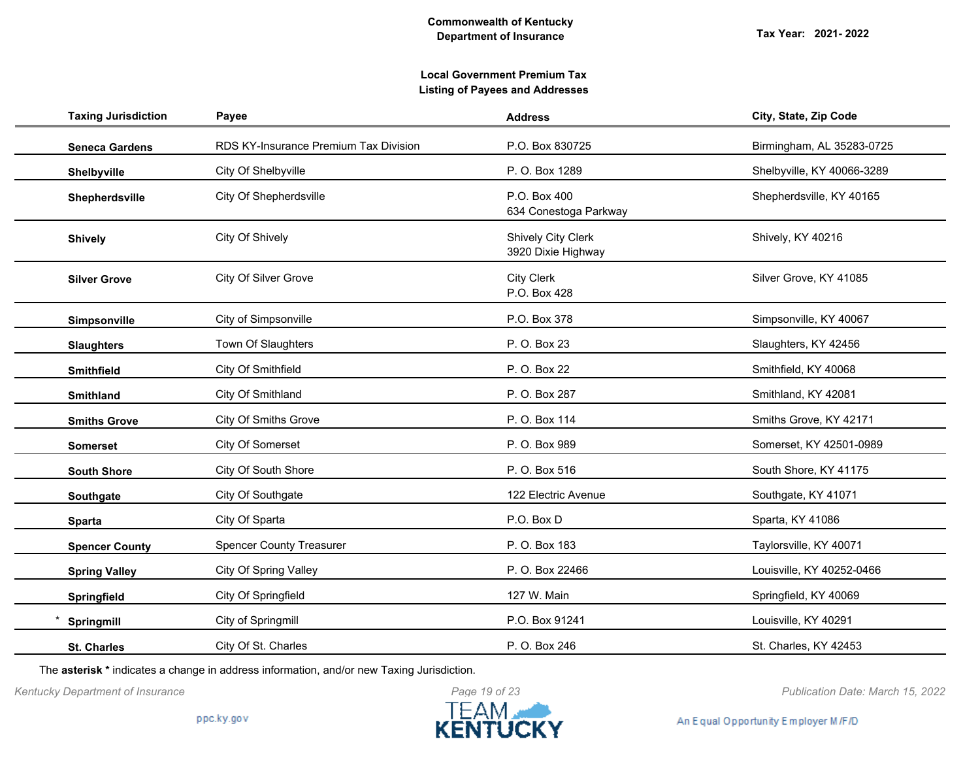| <b>Taxing Jurisdiction</b> | Payee                                 | <b>Address</b>                                  | City, State, Zip Code      |
|----------------------------|---------------------------------------|-------------------------------------------------|----------------------------|
| <b>Seneca Gardens</b>      | RDS KY-Insurance Premium Tax Division | P.O. Box 830725                                 | Birmingham, AL 35283-0725  |
| Shelbyville                | City Of Shelbyville                   | P. O. Box 1289                                  | Shelbyville, KY 40066-3289 |
| Shepherdsville             | City Of Shepherdsville                | P.O. Box 400<br>634 Conestoga Parkway           | Shepherdsville, KY 40165   |
| <b>Shively</b>             | City Of Shively                       | <b>Shively City Clerk</b><br>3920 Dixie Highway | Shively, KY 40216          |
| <b>Silver Grove</b>        | City Of Silver Grove                  | <b>City Clerk</b><br>P.O. Box 428               | Silver Grove, KY 41085     |
| Simpsonville               | City of Simpsonville                  | P.O. Box 378                                    | Simpsonville, KY 40067     |
| <b>Slaughters</b>          | Town Of Slaughters                    | P. O. Box 23                                    | Slaughters, KY 42456       |
| <b>Smithfield</b>          | City Of Smithfield                    | P. O. Box 22                                    | Smithfield, KY 40068       |
| <b>Smithland</b>           | City Of Smithland                     | P. O. Box 287                                   | Smithland, KY 42081        |
| <b>Smiths Grove</b>        | <b>City Of Smiths Grove</b>           | P. O. Box 114                                   | Smiths Grove, KY 42171     |
| <b>Somerset</b>            | City Of Somerset                      | P. O. Box 989                                   | Somerset, KY 42501-0989    |
| <b>South Shore</b>         | City Of South Shore                   | P. O. Box 516                                   | South Shore, KY 41175      |
| Southgate                  | City Of Southgate                     | 122 Electric Avenue                             | Southgate, KY 41071        |
| <b>Sparta</b>              | City Of Sparta                        | P.O. Box D                                      | Sparta, KY 41086           |
| <b>Spencer County</b>      | <b>Spencer County Treasurer</b>       | P. O. Box 183                                   | Taylorsville, KY 40071     |
| <b>Spring Valley</b>       | <b>City Of Spring Valley</b>          | P. O. Box 22466                                 | Louisville, KY 40252-0466  |
| Springfield                | City Of Springfield                   | 127 W. Main                                     | Springfield, KY 40069      |
| Springmill                 | City of Springmill                    | P.O. Box 91241                                  | Louisville, KY 40291       |
| <b>St. Charles</b>         | City Of St. Charles                   | P. O. Box 246                                   | St. Charles, KY 42453      |

The **asterisk \*** indicates a change in address information, and/or new Taxing Jurisdiction.



An Equal Opportunity Employer M/F/D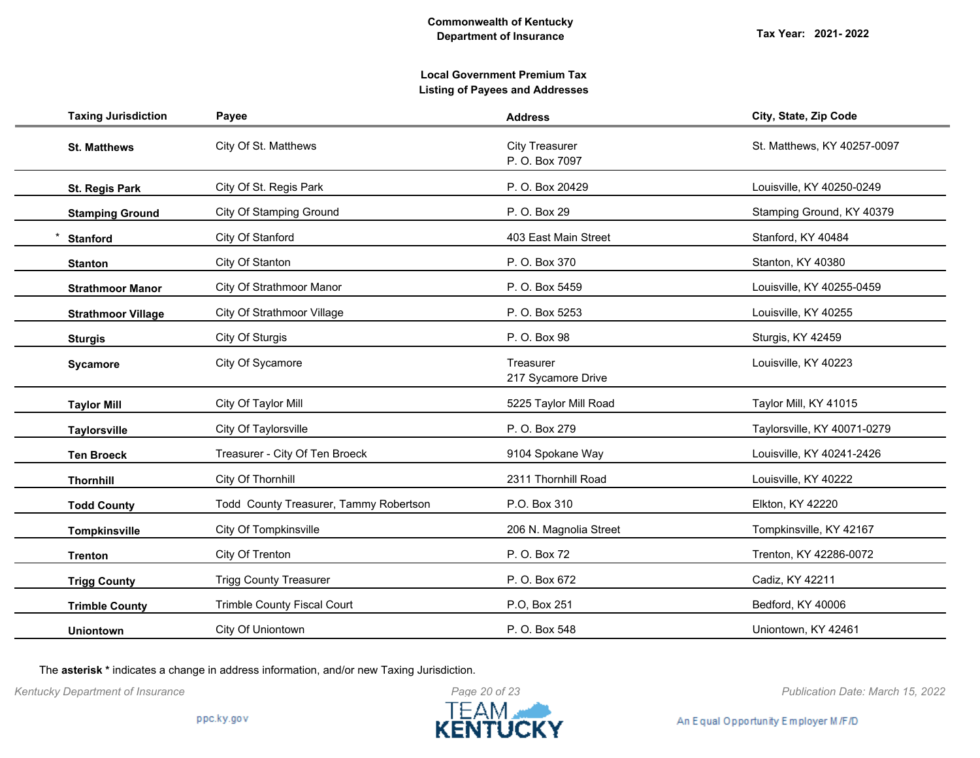# **Local Government Premium Tax Listing of Payees and Addresses**

| <b>Taxing Jurisdiction</b> | Payee                                  | <b>Address</b>                          | City, State, Zip Code       |
|----------------------------|----------------------------------------|-----------------------------------------|-----------------------------|
| <b>St. Matthews</b>        | City Of St. Matthews                   | <b>City Treasurer</b><br>P. O. Box 7097 | St. Matthews, KY 40257-0097 |
| <b>St. Regis Park</b>      | City Of St. Regis Park                 | P. O. Box 20429                         | Louisville, KY 40250-0249   |
| <b>Stamping Ground</b>     | <b>City Of Stamping Ground</b>         | P. O. Box 29                            | Stamping Ground, KY 40379   |
| <b>Stanford</b>            | City Of Stanford                       | 403 East Main Street                    | Stanford, KY 40484          |
| <b>Stanton</b>             | City Of Stanton                        | P. O. Box 370                           | Stanton, KY 40380           |
| <b>Strathmoor Manor</b>    | City Of Strathmoor Manor               | P.O. Box 5459                           | Louisville, KY 40255-0459   |
| <b>Strathmoor Village</b>  | City Of Strathmoor Village             | P. O. Box 5253                          | Louisville, KY 40255        |
| <b>Sturgis</b>             | City Of Sturgis                        | P. O. Box 98                            | Sturgis, KY 42459           |
| Sycamore                   | City Of Sycamore                       | Treasurer<br>217 Sycamore Drive         | Louisville, KY 40223        |
| <b>Taylor Mill</b>         | City Of Taylor Mill                    | 5225 Taylor Mill Road                   | Taylor Mill, KY 41015       |
| <b>Taylorsville</b>        | City Of Taylorsville                   | P. O. Box 279                           | Taylorsville, KY 40071-0279 |
| <b>Ten Broeck</b>          | Treasurer - City Of Ten Broeck         | 9104 Spokane Way                        | Louisville, KY 40241-2426   |
| <b>Thornhill</b>           | City Of Thornhill                      | 2311 Thornhill Road                     | Louisville, KY 40222        |
| <b>Todd County</b>         | Todd County Treasurer, Tammy Robertson | P.O. Box 310                            | Elkton, KY 42220            |
| <b>Tompkinsville</b>       | City Of Tompkinsville                  | 206 N. Magnolia Street                  | Tompkinsville, KY 42167     |
| <b>Trenton</b>             | City Of Trenton                        | P. O. Box 72                            | Trenton, KY 42286-0072      |
| <b>Trigg County</b>        | <b>Trigg County Treasurer</b>          | P. O. Box 672                           | Cadiz, KY 42211             |
| <b>Trimble County</b>      | Trimble County Fiscal Court            | P.O, Box 251                            | Bedford, KY 40006           |
| <b>Uniontown</b>           | City Of Uniontown                      | P. O. Box 548                           | Uniontown, KY 42461         |

The **asterisk \*** indicates a change in address information, and/or new Taxing Jurisdiction.



*Kentucky Department of Insurance Publication Date: March 15, 2022*

An Equal Opportunity Employer M/F/D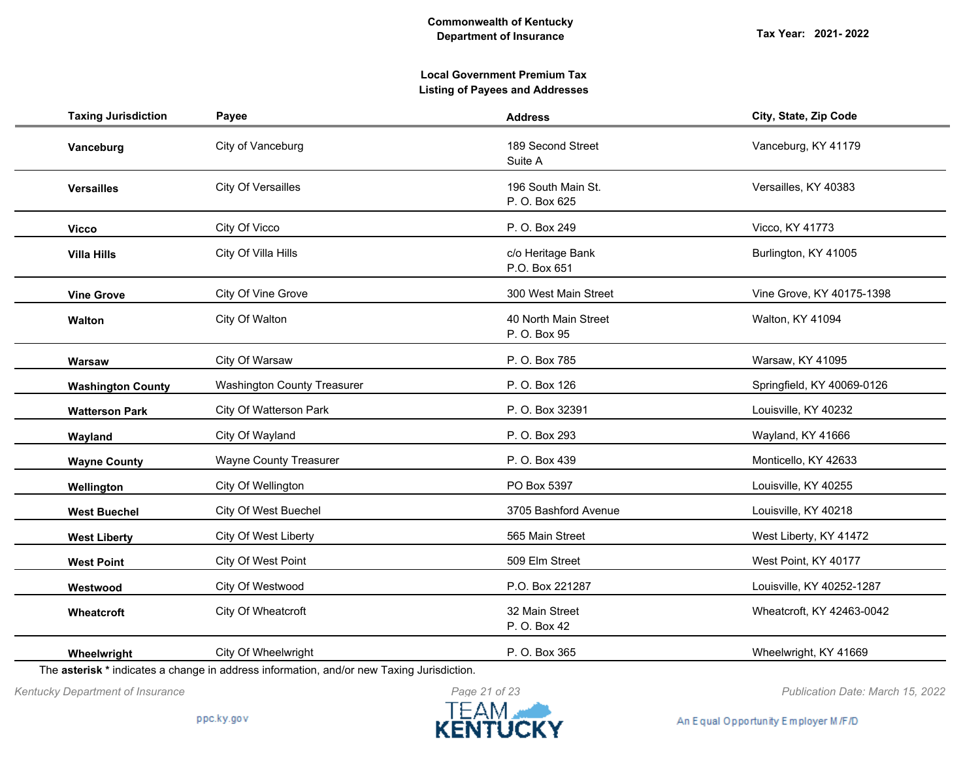| <b>Taxing Jurisdiction</b> | Payee                         | <b>Address</b>                       | City, State, Zip Code      |
|----------------------------|-------------------------------|--------------------------------------|----------------------------|
| Vanceburg                  | City of Vanceburg             | 189 Second Street<br>Suite A         | Vanceburg, KY 41179        |
| <b>Versailles</b>          | <b>City Of Versailles</b>     | 196 South Main St.<br>P. O. Box 625  | Versailles, KY 40383       |
| <b>Vicco</b>               | City Of Vicco                 | P. O. Box 249                        | Vicco, KY 41773            |
| <b>Villa Hills</b>         | City Of Villa Hills           | c/o Heritage Bank<br>P.O. Box 651    | Burlington, KY 41005       |
| <b>Vine Grove</b>          | City Of Vine Grove            | 300 West Main Street                 | Vine Grove, KY 40175-1398  |
| Walton                     | City Of Walton                | 40 North Main Street<br>P. O. Box 95 | Walton, KY 41094           |
| Warsaw                     | City Of Warsaw                | P. O. Box 785                        | Warsaw, KY 41095           |
| <b>Washington County</b>   | Washington County Treasurer   | P. O. Box 126                        | Springfield, KY 40069-0126 |
| <b>Watterson Park</b>      | City Of Watterson Park        | P. O. Box 32391                      | Louisville, KY 40232       |
| Wayland                    | City Of Wayland               | P. O. Box 293                        | Wayland, KY 41666          |
| <b>Wayne County</b>        | <b>Wayne County Treasurer</b> | P. O. Box 439                        | Monticello, KY 42633       |
| Wellington                 | City Of Wellington            | PO Box 5397                          | Louisville, KY 40255       |
| <b>West Buechel</b>        | City Of West Buechel          | 3705 Bashford Avenue                 | Louisville, KY 40218       |
| <b>West Liberty</b>        | City Of West Liberty          | 565 Main Street                      | West Liberty, KY 41472     |
| <b>West Point</b>          | City Of West Point            | 509 Elm Street                       | West Point, KY 40177       |
| Westwood                   | City Of Westwood              | P.O. Box 221287                      | Louisville, KY 40252-1287  |
| Wheatcroft                 | City Of Wheatcroft            | 32 Main Street<br>P. O. Box 42       | Wheatcroft, KY 42463-0042  |
| Wheelwright                | City Of Wheelwright           | P. O. Box 365                        | Wheelwright, KY 41669      |

The **asterisk \*** indicates a change in address information, and/or new Taxing Jurisdiction.



*Kentucky Department of Insurance Publication Date: March 15, 2022*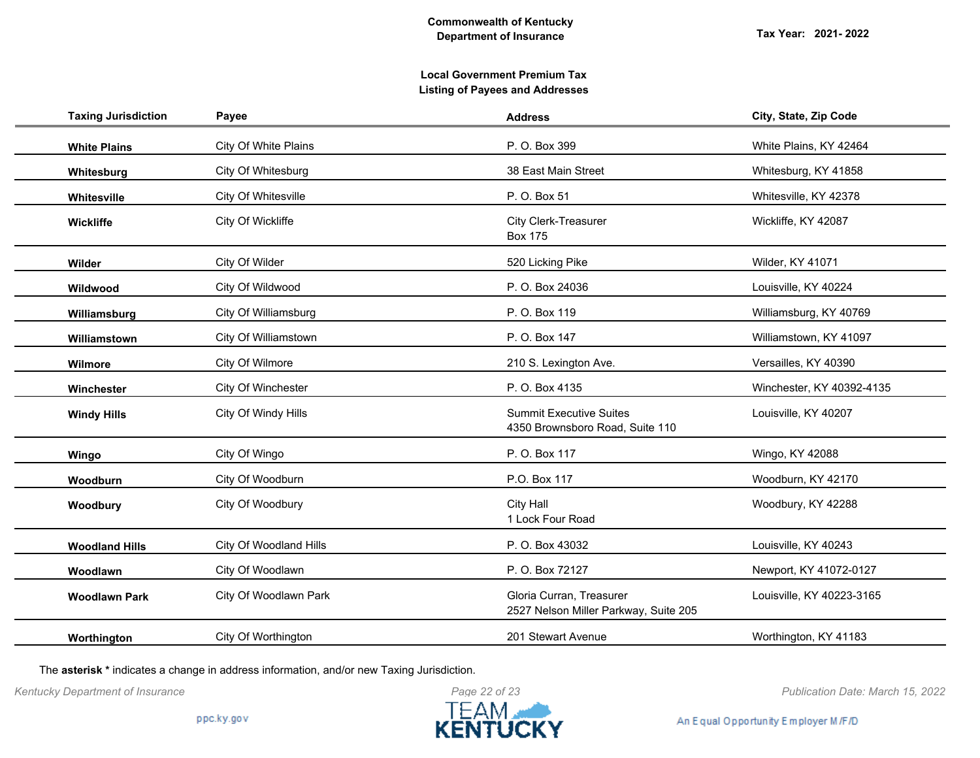| <b>Taxing Jurisdiction</b> | Payee                  | <b>Address</b>                                                    | City, State, Zip Code     |
|----------------------------|------------------------|-------------------------------------------------------------------|---------------------------|
| <b>White Plains</b>        | City Of White Plains   | P. O. Box 399                                                     | White Plains, KY 42464    |
| Whitesburg                 | City Of Whitesburg     | 38 East Main Street                                               | Whitesburg, KY 41858      |
| Whitesville                | City Of Whitesville    | P. O. Box 51                                                      | Whitesville, KY 42378     |
| Wickliffe                  | City Of Wickliffe      | <b>City Clerk-Treasurer</b><br><b>Box 175</b>                     | Wickliffe, KY 42087       |
| Wilder                     | City Of Wilder         | 520 Licking Pike                                                  | Wilder, KY 41071          |
| Wildwood                   | City Of Wildwood       | P. O. Box 24036                                                   | Louisville, KY 40224      |
| Williamsburg               | City Of Williamsburg   | P. O. Box 119                                                     | Williamsburg, KY 40769    |
| Williamstown               | City Of Williamstown   | P. O. Box 147                                                     | Williamstown, KY 41097    |
| Wilmore                    | City Of Wilmore        | 210 S. Lexington Ave.                                             | Versailles, KY 40390      |
| Winchester                 | City Of Winchester     | P. O. Box 4135                                                    | Winchester, KY 40392-4135 |
| <b>Windy Hills</b>         | City Of Windy Hills    | <b>Summit Executive Suites</b><br>4350 Brownsboro Road, Suite 110 | Louisville, KY 40207      |
| Wingo                      | City Of Wingo          | P. O. Box 117                                                     | Wingo, KY 42088           |
| Woodburn                   | City Of Woodburn       | P.O. Box 117                                                      | Woodburn, KY 42170        |
| Woodbury                   | City Of Woodbury       | <b>City Hall</b><br>1 Lock Four Road                              | Woodbury, KY 42288        |
| <b>Woodland Hills</b>      | City Of Woodland Hills | P. O. Box 43032                                                   | Louisville, KY 40243      |
| Woodlawn                   | City Of Woodlawn       | P. O. Box 72127                                                   | Newport, KY 41072-0127    |
| <b>Woodlawn Park</b>       | City Of Woodlawn Park  | Gloria Curran, Treasurer<br>2527 Nelson Miller Parkway, Suite 205 | Louisville, KY 40223-3165 |
| Worthington                | City Of Worthington    | 201 Stewart Avenue                                                | Worthington, KY 41183     |

The **asterisk \*** indicates a change in address information, and/or new Taxing Jurisdiction.



*Kentucky Department of Insurance Publication Date: March 15, 2022*

An Equal Opportunity Employer M/F/D